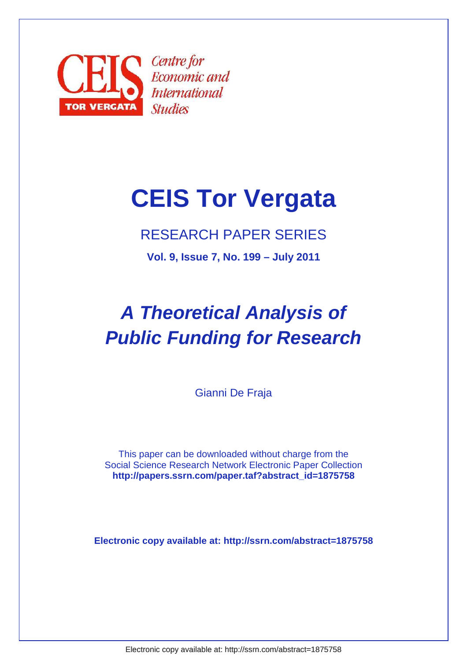

# **CEIS Tor Vergata**

# RESEARCH PAPER SERIES

**Vol. 9, Issue 7, No. 199 – July 2011**

# **A Theoretical Analysis of Public Funding for Research**

Gianni De Fraja

This paper can be downloaded without charge from the Social Science Research Network Electronic Paper Collection  **http://papers.ssrn.com/paper.taf?abstract\_id=1875758** 

**Electronic copy available at: http://ssrn.com/abstract=1875758**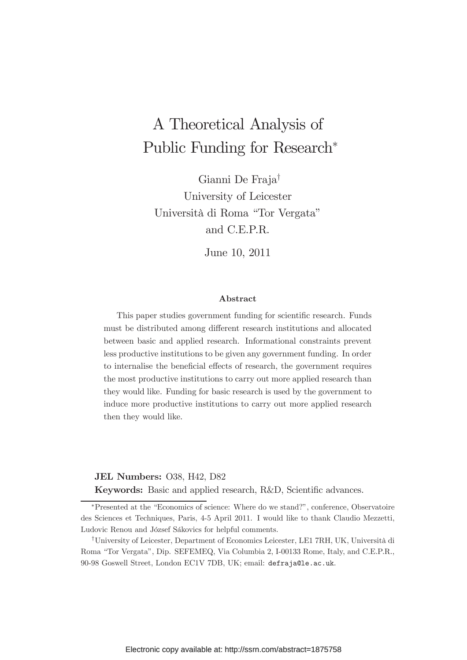# A Theoretical Analysis of Public Funding for Research

Gianni De Fraja† University of Leicester Università di Roma "Tor Vergata" and C.E.P.R.

June 10, 2011

#### Abstract

This paper studies government funding for scientific research. Funds must be distributed among different research institutions and allocated between basic and applied research. Informational constraints prevent less productive institutions to be given any government funding. In order to internalise the beneficial effects of research, the government requires the most productive institutions to carry out more applied research than they would like. Funding for basic research is used by the government to induce more productive institutions to carry out more applied research then they would like.

#### JEL Numbers: O38, H42, D82

Keywords: Basic and applied research, R&D, Scientific advances.

Presented at the "Economics of science: Where do we stand?", conference, Observatoire des Sciences et Techniques, Paris, 4-5 April 2011. I would like to thank Claudio Mezzetti, Ludovic Renou and József Sákovics for helpful comments.

<sup>†</sup>University of Leicester, Department of Economics Leicester, LE1 7RH, UK, Università di Roma "Tor Vergata", Dip. SEFEMEQ, Via Columbia 2, I-00133 Rome, Italy, and C.E.P.R., 90-98 Goswell Street, London EC1V 7DB, UK; email: defraja@le.ac.uk.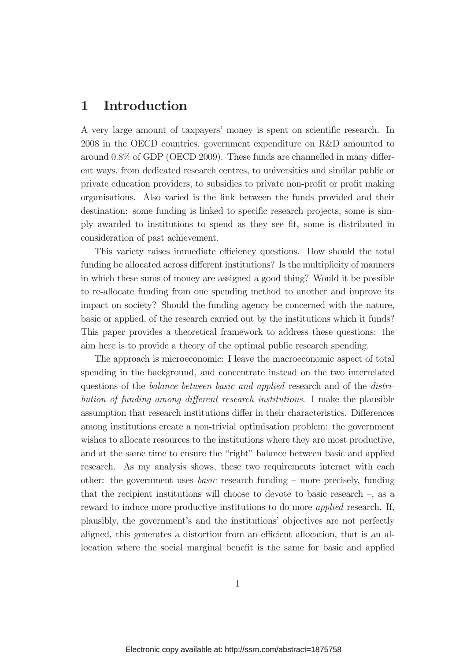# 1 Introduction

A very large amount of taxpayers' money is spent on scientific research. In 2008 in the OECD countries, government expenditure on R&D amounted to around  $0.8\%$  of GDP (OECD 2009). These funds are channelled in many different ways, from dedicated research centres, to universities and similar public or private education providers, to subsidies to private non-profit or profit making organisations. Also varied is the link between the funds provided and their destination: some funding is linked to specific research projects, some is simply awarded to institutions to spend as they see fit, some is distributed in consideration of past achievement.

This variety raises immediate efficiency questions. How should the total funding be allocated across different institutions? Is the multiplicity of manners in which these sums of money are assigned a good thing? Would it be possible to re-allocate funding from one spending method to another and improve its impact on society? Should the funding agency be concerned with the nature, basic or applied, of the research carried out by the institutions which it funds? This paper provides a theoretical framework to address these questions: the aim here is to provide a theory of the optimal public research spending.

The approach is microeconomic: I leave the macroeconomic aspect of total spending in the background, and concentrate instead on the two interrelated questions of the *balance between basic and applied* research and of the *distribution of funding among dierent research institutions*. I make the plausible assumption that research institutions differ in their characteristics. Differences among institutions create a non-trivial optimisation problem: the government wishes to allocate resources to the institutions where they are most productive, and at the same time to ensure the "right" balance between basic and applied research. As my analysis shows, these two requirements interact with each other: the government uses *basic* research funding — more precisely, funding that the recipient institutions will choose to devote to basic research —, as a reward to induce more productive institutions to do more *applied* research. If, plausibly, the government's and the institutions' objectives are not perfectly aligned, this generates a distortion from an efficient allocation, that is an allocation where the social marginal benefit is the same for basic and applied

1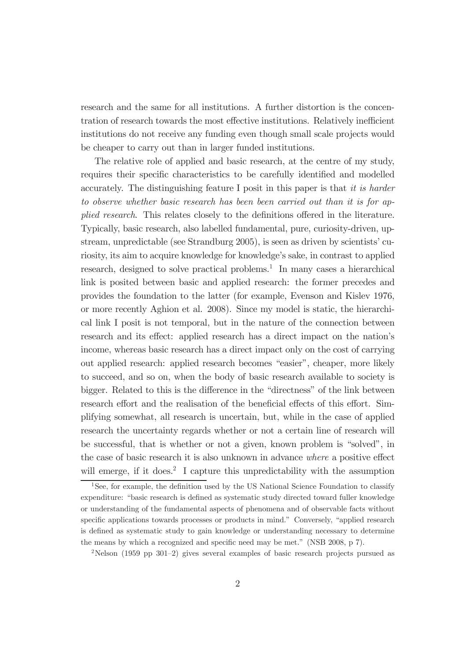research and the same for all institutions. A further distortion is the concentration of research towards the most effective institutions. Relatively inefficient institutions do not receive any funding even though small scale projects would be cheaper to carry out than in larger funded institutions.

The relative role of applied and basic research, at the centre of my study, requires their specific characteristics to be carefully identified and modelled accurately. The distinguishing feature I posit in this paper is that *it is harder to observe whether basic research has been been carried out than it is for applied research*. This relates closely to the definitions offered in the literature. Typically, basic research, also labelled fundamental, pure, curiosity-driven, upstream, unpredictable (see Strandburg 2005), is seen as driven by scientists' curiosity, its aim to acquire knowledge for knowledge's sake, in contrast to applied research, designed to solve practical problems.<sup>1</sup> In many cases a hierarchical link is posited between basic and applied research: the former precedes and provides the foundation to the latter (for example, Evenson and Kislev 1976, or more recently Aghion et al. 2008). Since my model is static, the hierarchical link I posit is not temporal, but in the nature of the connection between research and its effect: applied research has a direct impact on the nation's income, whereas basic research has a direct impact only on the cost of carrying out applied research: applied research becomes "easier", cheaper, more likely to succeed, and so on, when the body of basic research available to society is bigger. Related to this is the difference in the "directness" of the link between research effort and the realisation of the beneficial effects of this effort. Simplifying somewhat, all research is uncertain, but, while in the case of applied research the uncertainty regards whether or not a certain line of research will be successful, that is whether or not a given, known problem is "solved", in the case of basic research it is also unknown in advance *where* a positive effect will emerge, if it does.<sup>2</sup> I capture this unpredictability with the assumption

<sup>2</sup>Nelson (1959 pp 301—2) gives several examples of basic research projects pursued as

<sup>&</sup>lt;sup>1</sup>See, for example, the definition used by the US National Science Foundation to classify expenditure: "basic research is defined as systematic study directed toward fuller knowledge or understanding of the fundamental aspects of phenomena and of observable facts without specific applications towards processes or products in mind." Conversely, "applied research is defined as systematic study to gain knowledge or understanding necessary to determine the means by which a recognized and specific need may be met." (NSB 2008,  $p$  7).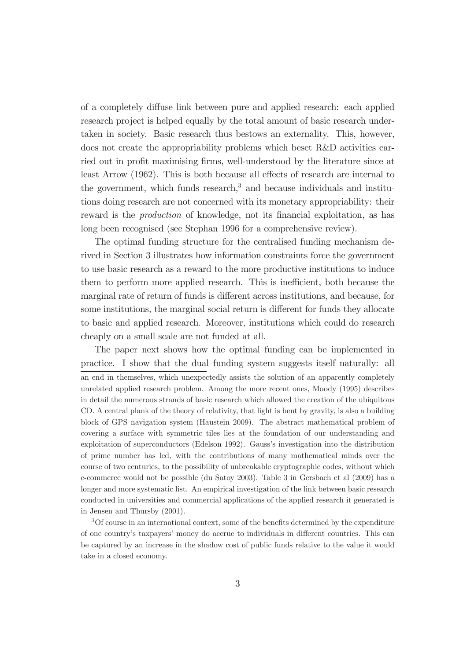of a completely diffuse link between pure and applied research: each applied research project is helped equally by the total amount of basic research undertaken in society. Basic research thus bestows an externality. This, however, does not create the appropriability problems which beset R&D activities carried out in profit maximising firms, well-understood by the literature since at least Arrow  $(1962)$ . This is both because all effects of research are internal to the government, which funds research, $3$  and because individuals and institutions doing research are not concerned with its monetary appropriability: their reward is the *production* of knowledge, not its financial exploitation, as has long been recognised (see Stephan 1996 for a comprehensive review).

The optimal funding structure for the centralised funding mechanism derived in Section 3 illustrates how information constraints force the government to use basic research as a reward to the more productive institutions to induce them to perform more applied research. This is inefficient, both because the marginal rate of return of funds is different across institutions, and because, for some institutions, the marginal social return is different for funds they allocate to basic and applied research. Moreover, institutions which could do research cheaply on a small scale are not funded at all.

The paper next shows how the optimal funding can be implemented in practice. I show that the dual funding system suggests itself naturally: all an end in themselves, which unexpectedly assists the solution of an apparently completely unrelated applied research problem. Among the more recent ones, Moody (1995) describes in detail the numerous strands of basic research which allowed the creation of the ubiquitous CD. A central plank of the theory of relativity, that light is bent by gravity, is also a building block of GPS navigation system (Haustein 2009). The abstract mathematical problem of covering a surface with symmetric tiles lies at the foundation of our understanding and exploitation of superconductors (Edelson 1992). Gauss's investigation into the distribution of prime number has led, with the contributions of many mathematical minds over the course of two centuries, to the possibility of unbreakable cryptographic codes, without which e-commerce would not be possible (du Satoy 2003). Table 3 in Gersbach et al (2009) has a longer and more systematic list. An empirical investigation of the link between basic research conducted in universities and commercial applications of the applied research it generated is in Jensen and Thursby (2001).

 $3$ Of course in an international context, some of the benefits determined by the expenditure of one country's taxpayers' money do accrue to individuals in dierent countries. This can be captured by an increase in the shadow cost of public funds relative to the value it would take in a closed economy.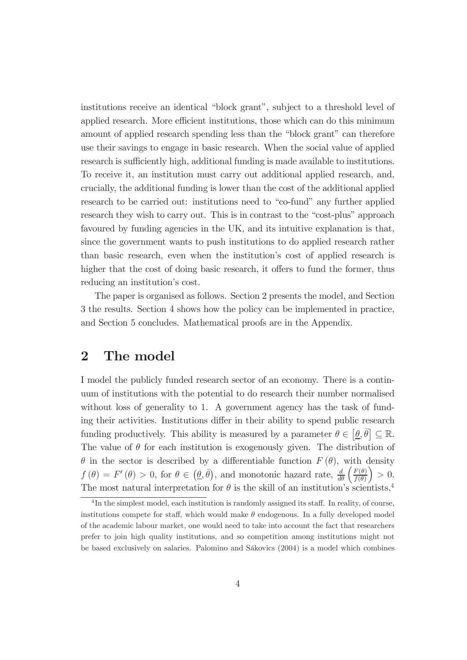institutions receive an identical "block grant", subject to a threshold level of applied research. More efficient institutions, those which can do this minimum amount of applied research spending less than the "block grant" can therefore use their savings to engage in basic research. When the social value of applied research is sufficiently high, additional funding is made available to institutions. To receive it, an institution must carry out additional applied research, and, crucially, the additional funding is lower than the cost of the additional applied research to be carried out: institutions need to "co-fund" any further applied research they wish to carry out. This is in contrast to the "cost-plus" approach favoured by funding agencies in the UK, and its intuitive explanation is that, since the government wants to push institutions to do applied research rather than basic research, even when the institution's cost of applied research is higher that the cost of doing basic research, it offers to fund the former, thus reducing an institution's cost.

The paper is organised as follows. Section 2 presents the model, and Section 3 the results. Section 4 shows how the policy can be implemented in practice, and Section 5 concludes. Mathematical proofs are in the Appendix.

### 2 The model

I model the publicly funded research sector of an economy. There is a continuum of institutions with the potential to do research their number normalised without loss of generality to 1. A government agency has the task of funding their activities. Institutions differ in their ability to spend public research funding productively. This ability is measured by a parameter  $\theta \in [\underline{\theta}, \overline{\theta}] \subseteq \mathbb{R}$ . The value of  $\theta$  for each institution is exogenously given. The distribution of  $\theta$  in the sector is described by a differentiable function  $F(\theta)$ , with density  $f(\theta) = F'(\theta) > 0$ , for  $\theta \in (\underline{\theta}, \overline{\theta})$ , and monotonic hazard rate,  $\frac{d}{d\theta}$  $\int F(\theta)$  $f(\theta)$  $\Big) > 0.$ The most natural interpretation for  $\theta$  is the skill of an institution's scientists,<sup>4</sup>

 ${}^{4}$ In the simplest model, each institution is randomly assigned its staff. In reality, of course, institutions compete for staff, which would make  $\theta$  endogenous. In a fully developed model of the academic labour market, one would need to take into account the fact that researchers prefer to join high quality institutions, and so competition among institutions might not be based exclusively on salaries. Palomino and Sákovics (2004) is a model which combines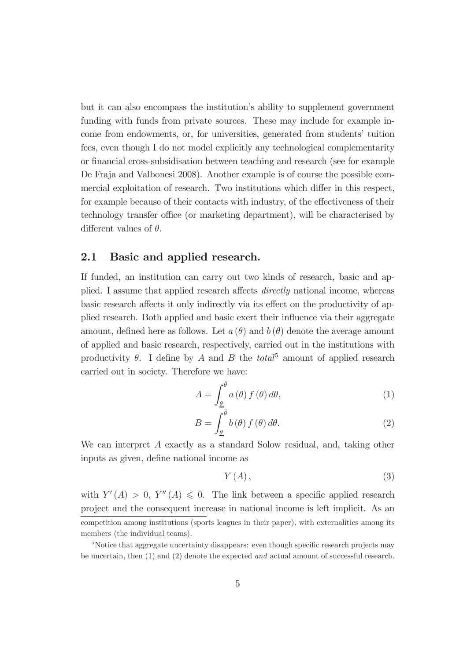but it can also encompass the institution's ability to supplement government funding with funds from private sources. These may include for example income from endowments, or, for universities, generated from students' tuition fees, even though I do not model explicitly any technological complementarity or financial cross-subsidisation between teaching and research (see for example De Fraja and Valbonesi 2008). Another example is of course the possible commercial exploitation of research. Two institutions which differ in this respect, for example because of their contacts with industry, of the effectiveness of their technology transfer office (or marketing department), will be characterised by different values of  $\theta$ .

#### 2.1 Basic and applied research.

If funded, an institution can carry out two kinds of research, basic and applied. I assume that applied research affects *directly* national income, whereas basic research affects it only indirectly via its effect on the productivity of applied research. Both applied and basic exert their inßuence via their aggregate amount, defined here as follows. Let  $a(\theta)$  and  $b(\theta)$  denote the average amount of applied and basic research, respectively, carried out in the institutions with productivity  $\theta$ . I define by A and B the *total*<sup>5</sup> amount of applied research carried out in society. Therefore we have:

$$
A = \int_{\underline{\theta}}^{\overline{\theta}} a(\theta) f(\theta) d\theta,
$$
 (1)

$$
B = \int_{\underline{\theta}}^{\overline{\theta}} b(\theta) f(\theta) d\theta.
$$
 (2)

We can interpret A exactly as a standard Solow residual, and, taking other inputs as given, define national income as

$$
Y(A), \tag{3}
$$

with  $Y'(A) > 0$ ,  $Y''(A) \leq 0$ . The link between a specific applied research project and the consequent increase in national income is left implicit. As an competition among institutions (sports leagues in their paper), with externalities among its members (the individual teams).

 $5$ Notice that aggregate uncertainty disappears: even though specific research projects may be uncertain, then (1) and (2) denote the expected *and* actual amount of successful research.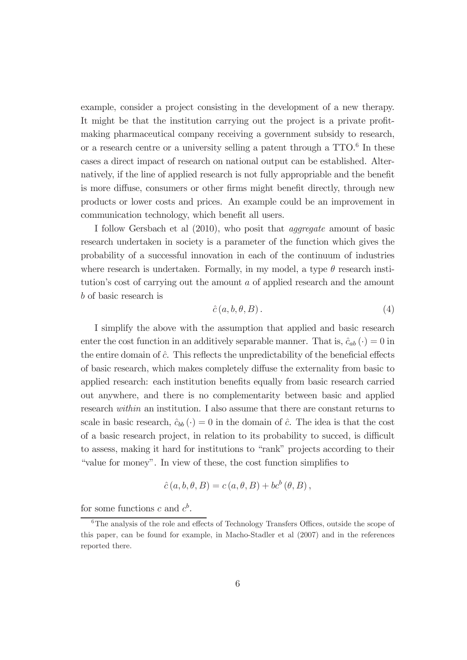example, consider a project consisting in the development of a new therapy. It might be that the institution carrying out the project is a private profitmaking pharmaceutical company receiving a government subsidy to research, or a research centre or a university selling a patent through a  $TTO<sup>6</sup>$  In these cases a direct impact of research on national output can be established. Alternatively, if the line of applied research is not fully appropriable and the benefit is more diffuse, consumers or other firms might benefit directly, through new products or lower costs and prices. An example could be an improvement in communication technology, which benefit all users.

I follow Gersbach et al (2010), who posit that *aggregate* amount of basic research undertaken in society is a parameter of the function which gives the probability of a successful innovation in each of the continuum of industries where research is undertaken. Formally, in my model, a type  $\theta$  research institution's cost of carrying out the amount a of applied research and the amount b of basic research is

$$
\hat{c}(a,b,\theta,B). \tag{4}
$$

I simplify the above with the assumption that applied and basic research enter the cost function in an additively separable manner. That is,  $\hat{c}_{ab}(\cdot) = 0$  in the entire domain of  $\hat{c}$ . This reflects the unpredictability of the beneficial effects of basic research, which makes completely diffuse the externality from basic to applied research: each institution benefits equally from basic research carried out anywhere, and there is no complementarity between basic and applied research *within* an institution. I also assume that there are constant returns to scale in basic research,  $\hat{c}_{bb}(\cdot) = 0$  in the domain of  $\hat{c}$ . The idea is that the cost of a basic research project, in relation to its probability to succed, is difficult to assess, making it hard for institutions to "rank" projects according to their "value for money". In view of these, the cost function simplifies to

$$
\hat{c}(a, b, \theta, B) = c(a, \theta, B) + bc^{b}(\theta, B),
$$

for some functions c and  $c^b$ .

 $6$ The analysis of the role and effects of Technology Transfers Offices, outside the scope of this paper, can be found for example, in Macho-Stadler et al (2007) and in the references reported there.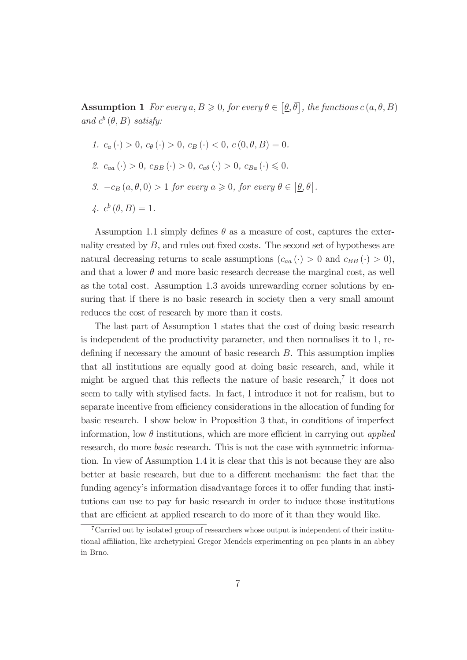**Assumption 1** For every  $a, B \ge 0$ , for every  $\theta \in [\underline{\theta}, \overline{\theta}]$ , the functions  $c(a, \theta, B)$ and  $c^b(\theta, B)$  *satisfy:* 

*.*

\n- 1. 
$$
c_a(\cdot) > 0
$$
,  $c_{\theta}(\cdot) > 0$ ,  $c_B(\cdot) < 0$ ,  $c(0, \theta, B) = 0$ .
\n- 2.  $c_{aa}(\cdot) > 0$ ,  $c_{BB}(\cdot) > 0$ ,  $c_{a\theta}(\cdot) > 0$ ,  $c_{Ba}(\cdot) \leq 0$ .
\n- 3.  $-c_B(a, \theta, 0) > 1$  for every  $a \geq 0$ , for every  $\theta \in [\underline{\theta}, \overline{\theta}]$ .
\n- 4.  $c^b(\theta, B) = 1$ .
\n

Assumption 1.1 simply defines  $\theta$  as a measure of cost, captures the externality created by  $B$ , and rules out fixed costs. The second set of hypotheses are natural decreasing returns to scale assumptions  $(c_{aa}(\cdot) > 0 \text{ and } c_{BB}(\cdot) > 0),$ and that a lower  $\theta$  and more basic research decrease the marginal cost, as well as the total cost. Assumption 1.3 avoids unrewarding corner solutions by ensuring that if there is no basic research in society then a very small amount reduces the cost of research by more than it costs.

The last part of Assumption 1 states that the cost of doing basic research is independent of the productivity parameter, and then normalises it to 1, redefining if necessary the amount of basic research  $B$ . This assumption implies that all institutions are equally good at doing basic research, and, while it might be argued that this reflects the nature of basic research,<sup>7</sup> it does not seem to tally with stylised facts. In fact, I introduce it not for realism, but to separate incentive from efficiency considerations in the allocation of funding for basic research. I show below in Proposition 3 that, in conditions of imperfect information, low  $\theta$  institutions, which are more efficient in carrying out *applied* research, do more *basic* research. This is not the case with symmetric information. In view of Assumption 1.4 it is clear that this is not because they are also better at basic research, but due to a different mechanism: the fact that the funding agency's information disadvantage forces it to offer funding that institutions can use to pay for basic research in order to induce those institutions that are efficient at applied research to do more of it than they would like.

<sup>7</sup>Carried out by isolated group of researchers whose output is independent of their institutional affiliation, like archetypical Gregor Mendels experimenting on pea plants in an abbey in Brno.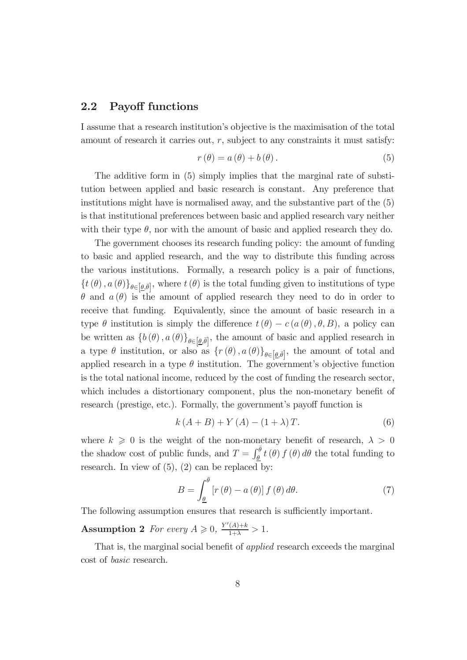#### 2.2 Payoff functions

I assume that a research institution's objective is the maximisation of the total amount of research it carries out,  $r$ , subject to any constraints it must satisfy:

$$
r(\theta) = a(\theta) + b(\theta). \tag{5}
$$

The additive form in (5) simply implies that the marginal rate of substitution between applied and basic research is constant. Any preference that institutions might have is normalised away, and the substantive part of the (5) is that institutional preferences between basic and applied research vary neither with their type  $\theta$ , nor with the amount of basic and applied research they do.

The government chooses its research funding policy: the amount of funding to basic and applied research, and the way to distribute this funding across the various institutions. Formally, a research policy is a pair of functions,  $\{t(\theta), a(\theta)\}_{\theta \in [\underline{\theta}, \overline{\theta}]},$  where  $t(\theta)$  is the total funding given to institutions of type  $\theta$  and  $a(\theta)$  is the amount of applied research they need to do in order to receive that funding. Equivalently, since the amount of basic research in a type  $\theta$  institution is simply the difference  $t(\theta) - c(a(\theta), \theta, B)$ , a policy can be written as  $\{b(\theta), a(\theta)\}_{\theta \in [\underline{\theta}, \overline{\theta}]}$ , the amount of basic and applied research in a type  $\theta$  institution, or also as  $\{r(\theta), a(\theta)\}_{\theta \in [\underline{\theta}, \overline{\theta}]},$  the amount of total and applied research in a type  $\theta$  institution. The government's objective function is the total national income, reduced by the cost of funding the research sector, which includes a distortionary component, plus the non-monetary benefit of research (prestige, etc.). Formally, the government's payoff function is

$$
k(A + B) + Y(A) - (1 + \lambda)T.
$$
 (6)

where  $k \geq 0$  is the weight of the non-monetary benefit of research,  $\lambda > 0$ the shadow cost of public funds, and  $T = \int_{\theta}^{\overline{\theta}} t(\theta) f(\theta) d\theta$  the total funding to research. In view of  $(5)$ ,  $(2)$  can be replaced by:

$$
B = \int_{\underline{\theta}}^{\overline{\theta}} \left[ r(\theta) - a(\theta) \right] f(\theta) d\theta.
$$
 (7)

The following assumption ensures that research is sufficiently important.

Assumption 2 *For every*  $A \ge 0$ ,  $\frac{Y'(A)+k}{1+\lambda} > 1$ *.* 

That is, the marginal social benefit of *applied* research exceeds the marginal cost of *basic* research.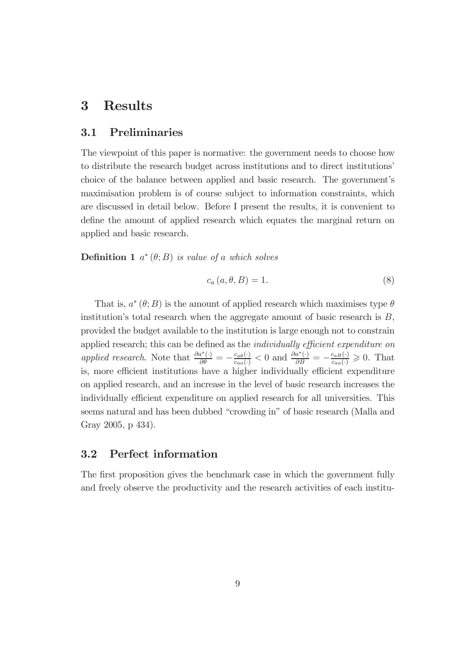# 3 Results

#### 3.1 Preliminaries

The viewpoint of this paper is normative: the government needs to choose how to distribute the research budget across institutions and to direct institutions' choice of the balance between applied and basic research. The government's maximisation problem is of course subject to information constraints, which are discussed in detail below. Before I present the results, it is convenient to define the amount of applied research which equates the marginal return on applied and basic research.

**Definition 1**  $a^*(\theta; B)$  *is value of a which solves* 

$$
c_a(a, \theta, B) = 1.
$$
\n<sup>(8)</sup>

That is,  $a^*(\theta; B)$  is the amount of applied research which maximises type  $\theta$ institution's total research when the aggregate amount of basic research is  $B$ , provided the budget available to the institution is large enough not to constrain applied research; this can be defined as the *individually efficient expenditure on applied research*. Note that  $\frac{\partial a^*(\cdot)}{\partial \theta} = -\frac{c_{a\theta}(\cdot)}{c_{aa}(\cdot)} < 0$  and  $\frac{\partial a^*(\cdot)}{\partial B} = -\frac{c_{aB}(\cdot)}{c_{aa}(\cdot)} \geq 0$ . That is, more efficient institutions have a higher individually efficient expenditure on applied research, and an increase in the level of basic research increases the individually efficient expenditure on applied research for all universities. This seems natural and has been dubbed "crowding in" of basic research (Malla and Gray 2005, p 434).

#### 3.2 Perfect information

The first proposition gives the benchmark case in which the government fully and freely observe the productivity and the research activities of each institu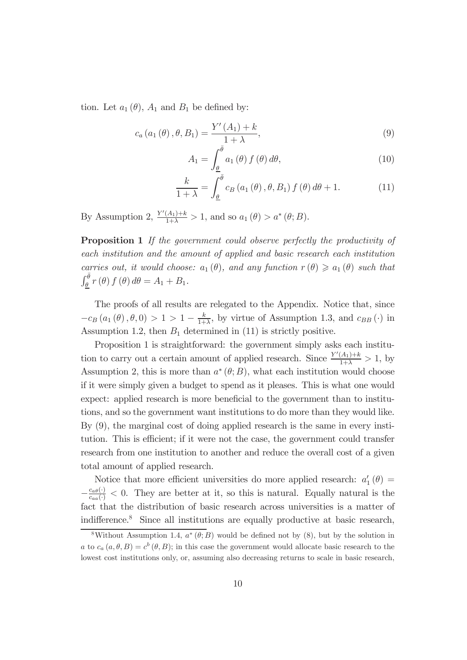tion. Let  $a_1(\theta)$ ,  $A_1$  and  $B_1$  be defined by:

$$
c_{a}(a_{1}(\theta), \theta, B_{1}) = \frac{Y'(A_{1}) + k}{1 + \lambda},
$$
\n(9)

$$
A_1 = \int_{\underline{\theta}}^{\overline{\theta}} a_1(\theta) f(\theta) d\theta, \qquad (10)
$$

$$
\frac{k}{1+\lambda} = \int_{\underline{\theta}}^{\overline{\theta}} c_B(a_1(\theta), \theta, B_1) f(\theta) d\theta + 1.
$$
 (11)

By Assumption 2,  $\frac{Y'(A_1)+k}{1+\lambda} > 1$ , and so  $a_1(\theta) > a^*(\theta; B)$ .

Proposition 1 *If the government could observe perfectly the productivity of each institution and the amount of applied and basic research each institution carries out, it would choose:*  $a_1(\theta)$ *, and any function*  $r(\theta) \geq a_1(\theta)$  *such that*  $\int_{\underline{\theta}}^{\overline{\theta}} r(\theta) f(\theta) d\theta = A_1 + B_1.$ 

The proofs of all results are relegated to the Appendix. Notice that, since  $-c_B(a_1(\theta), \theta, 0) > 1 > 1 - \frac{k}{1+\lambda}$ , by virtue of Assumption 1.3, and  $c_{BB}(\cdot)$  in Assumption 1.2, then  $B_1$  determined in (11) is strictly positive.

Proposition 1 is straightforward: the government simply asks each institution to carry out a certain amount of applied research. Since  $\frac{Y'(A_1)+k}{1+\lambda} > 1$ , by Assumption 2, this is more than  $a^*(\theta; B)$ , what each institution would choose if it were simply given a budget to spend as it pleases. This is what one would expect: applied research is more beneficial to the government than to institutions, and so the government want institutions to do more than they would like. By (9), the marginal cost of doing applied research is the same in every institution. This is efficient; if it were not the case, the government could transfer research from one institution to another and reduce the overall cost of a given total amount of applied research.

Notice that more efficient universities do more applied research:  $a_1$  $_{1}^{\prime}\left( \theta\right) =% {\displaystyle\sum\limits_{k=1}^{K}} \left( \theta-\hat{\theta}_{k}\right) ^{k}$  $\overline{\phantom{0}}$  $\frac{c_{a\theta}(.)}{c_{aa}(.)} < 0$ . They are better at it, so this is natural. Equally natural is the fact that the distribution of basic research across universities is a matter of indifference.<sup>8</sup> Since all institutions are equally productive at basic research,

<sup>&</sup>lt;sup>8</sup>Without Assumption 1.4,  $a^*(\theta; B)$  would be defined not by  $(8)$ , but by the solution in a to  $c_a(a, \theta, B) = c^b(\theta, B)$ ; in this case the government would allocate basic research to the lowest cost institutions only, or, assuming also decreasing returns to scale in basic research,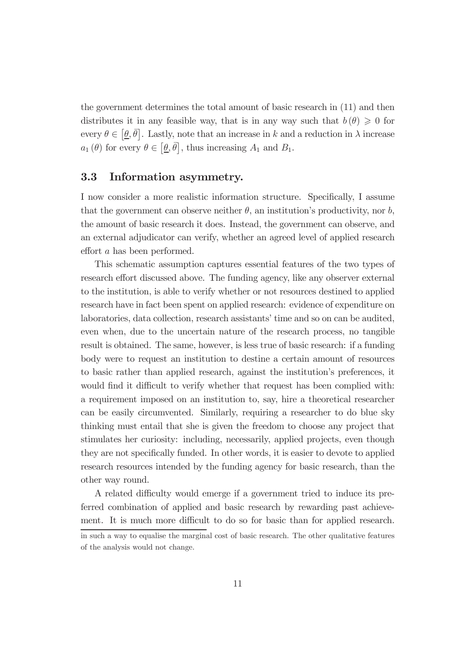the government determines the total amount of basic research in (11) and then distributes it in any feasible way, that is in any way such that  $b(\theta) \geq 0$  for every  $\theta \in [\underline{\theta}, \overline{\theta}]$ . Lastly, note that an increase in k and a reduction in  $\lambda$  increase  $a_1(\theta)$  for every  $\theta \in [\underline{\theta}, \overline{\theta}]$ , thus increasing  $A_1$  and  $B_1$ .

#### 3.3 Information asymmetry.

I now consider a more realistic information structure. Specifically, I assume that the government can observe neither  $\theta$ , an institution's productivity, nor b, the amount of basic research it does. Instead, the government can observe, and an external adjudicator can verify, whether an agreed level of applied research effort  $a$  has been performed.

This schematic assumption captures essential features of the two types of research effort discussed above. The funding agency, like any observer external to the institution, is able to verify whether or not resources destined to applied research have in fact been spent on applied research: evidence of expenditure on laboratories, data collection, research assistants' time and so on can be audited, even when, due to the uncertain nature of the research process, no tangible result is obtained. The same, however, is less true of basic research: if a funding body were to request an institution to destine a certain amount of resources to basic rather than applied research, against the institution's preferences, it would find it difficult to verify whether that request has been complied with: a requirement imposed on an institution to, say, hire a theoretical researcher can be easily circumvented. Similarly, requiring a researcher to do blue sky thinking must entail that she is given the freedom to choose any project that stimulates her curiosity: including, necessarily, applied projects, even though they are not specifically funded. In other words, it is easier to devote to applied research resources intended by the funding agency for basic research, than the other way round.

A related difficulty would emerge if a government tried to induce its preferred combination of applied and basic research by rewarding past achievement. It is much more difficult to do so for basic than for applied research.

in such a way to equalise the marginal cost of basic research. The other qualitative features of the analysis would not change.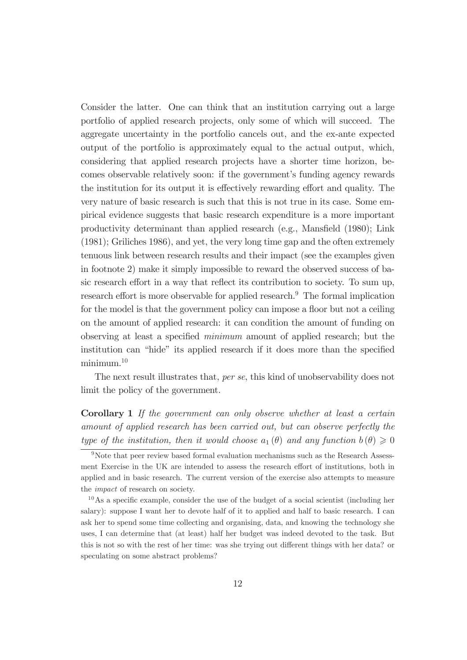Consider the latter. One can think that an institution carrying out a large portfolio of applied research projects, only some of which will succeed. The aggregate uncertainty in the portfolio cancels out, and the ex-ante expected output of the portfolio is approximately equal to the actual output, which, considering that applied research projects have a shorter time horizon, becomes observable relatively soon: if the government's funding agency rewards the institution for its output it is effectively rewarding effort and quality. The very nature of basic research is such that this is not true in its case. Some empirical evidence suggests that basic research expenditure is a more important productivity determinant than applied research (e.g., Mansfield  $(1980)$ ; Link (1981); Griliches 1986), and yet, the very long time gap and the often extremely tenuous link between research results and their impact (see the examples given in footnote 2) make it simply impossible to reward the observed success of basic research effort in a way that reflect its contribution to society. To sum up, research effort is more observable for applied research. $9$  The formal implication for the model is that the government policy can impose a ßoor but not a ceiling on the amount of applied research: it can condition the amount of funding on observing at least a specified *minimum* amount of applied research; but the institution can "hide" its applied research if it does more than the specified minimum.<sup>10</sup>

The next result illustrates that, *per se*, this kind of unobservability does not limit the policy of the government.

Corollary 1 *If the government can only observe whether at least a certain amount of applied research has been carried out, but can observe perfectly the type of the institution, then it would choose*  $a_1(\theta)$  *and any function*  $b(\theta) \geq 0$ 

<sup>9</sup>Note that peer review based formal evaluation mechanisms such as the Research Assessment Exercise in the UK are intended to assess the research effort of institutions, both in applied and in basic research. The current version of the exercise also attempts to measure the *impact* of research on society.

 $10\text{ As a specific example, consider the use of the budget of a social scientist (including her).}$ salary): suppose I want her to devote half of it to applied and half to basic research. I can ask her to spend some time collecting and organising, data, and knowing the technology she uses, I can determine that (at least) half her budget was indeed devoted to the task. But this is not so with the rest of her time: was she trying out different things with her data? or speculating on some abstract problems?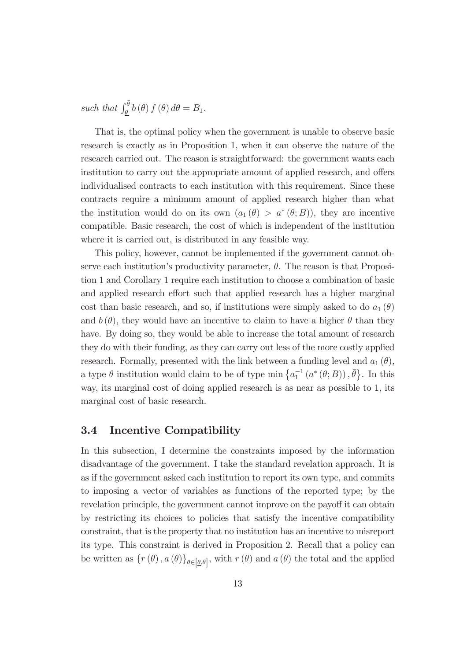such that  $\int_{\underline{\theta}}^{\overline{\theta}} b(\theta) f(\theta) d\theta = B_1$ .

That is, the optimal policy when the government is unable to observe basic research is exactly as in Proposition 1, when it can observe the nature of the research carried out. The reason is straightforward: the government wants each institution to carry out the appropriate amount of applied research, and offers individualised contracts to each institution with this requirement. Since these contracts require a minimum amount of applied research higher than what the institution would do on its own  $(a_1(\theta) > a^*(\theta; B))$ , they are incentive compatible. Basic research, the cost of which is independent of the institution where it is carried out, is distributed in any feasible way.

This policy, however, cannot be implemented if the government cannot observe each institution's productivity parameter,  $\theta$ . The reason is that Proposition 1 and Corollary 1 require each institution to choose a combination of basic and applied research effort such that applied research has a higher marginal cost than basic research, and so, if institutions were simply asked to do  $a_1(\theta)$ and  $b(\theta)$ , they would have an incentive to claim to have a higher  $\theta$  than they have. By doing so, they would be able to increase the total amount of research they do with their funding, as they can carry out less of the more costly applied research. Formally, presented with the link between a funding level and  $a_1(\theta)$ , a type  $\theta$  institution would claim to be of type min  $\{a_1^{-1}(a^*(\theta;B)), \bar{\theta}\}$ . In this way, its marginal cost of doing applied research is as near as possible to 1, its marginal cost of basic research.

#### 3.4 Incentive Compatibility

In this subsection, I determine the constraints imposed by the information disadvantage of the government. I take the standard revelation approach. It is as if the government asked each institution to report its own type, and commits to imposing a vector of variables as functions of the reported type; by the revelation principle, the government cannot improve on the payoff it can obtain by restricting its choices to policies that satisfy the incentive compatibility constraint, that is the property that no institution has an incentive to misreport its type. This constraint is derived in Proposition 2. Recall that a policy can be written as  $\{r(\theta), a(\theta)\}_{\theta \in [\underline{\theta}, \overline{\theta}]},$  with  $r(\theta)$  and  $a(\theta)$  the total and the applied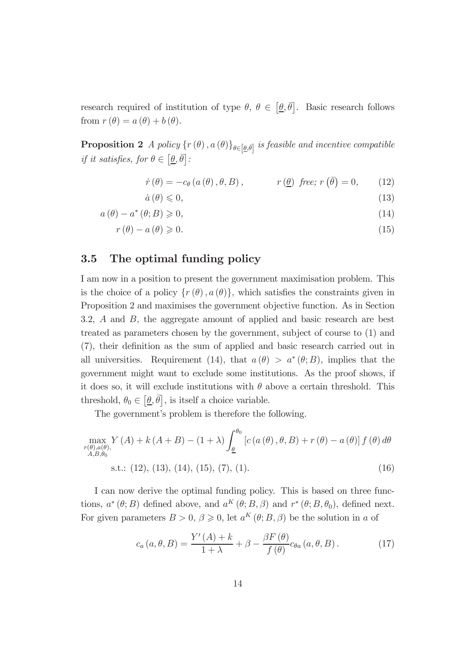research required of institution of type  $\theta$ ,  $\theta \in [\underline{\theta}, \overline{\theta}]$ . Basic research follows from  $r(\theta) = a(\theta) + b(\theta)$ .

**Proposition 2** *A policy*  $\{r(\theta), a(\theta)\}_{\theta \in [\underline{\theta}, \overline{\theta}]}$  *is feasible and incentive compatible if it satisfies, for*  $\theta \in [\underline{\theta}, \overline{\theta}]$ :

$$
\dot{r}(\theta) = -c_{\theta}(a(\theta), \theta, B), \qquad r(\underline{\theta}) \text{ free; } r(\overline{\theta}) = 0, \qquad (12)
$$

$$
\dot{a}\left(\theta\right) \leqslant 0,\tag{13}
$$

 $a(\theta) - a^*(\theta; B) \ge 0,$  (14)

$$
r(\theta) - a(\theta) \geqslant 0. \tag{15}
$$

#### 3.5 The optimal funding policy

I am now in a position to present the government maximisation problem. This is the choice of a policy  $\{r(\theta), a(\theta)\}\$ , which satisfies the constraints given in Proposition 2 and maximises the government objective function. As in Section 3.2, A and B, the aggregate amount of applied and basic research are best treated as parameters chosen by the government, subject of course to (1) and (7), their definition as the sum of applied and basic research carried out in all universities. Requirement (14), that  $a(\theta) > a^*(\theta; B)$ , implies that the government might want to exclude some institutions. As the proof shows, if it does so, it will exclude institutions with  $\theta$  above a certain threshold. This threshold,  $\theta_0 \in [\underline{\theta}, \overline{\theta}]$ , is itself a choice variable.

The government's problem is therefore the following.

$$
\max_{\substack{r(\theta),a(\theta),\\A,B,\theta_0}} Y(A) + k(A+B) - (1+\lambda) \int_{\underline{\theta}}^{\theta_0} \left[ c(a(\theta), \theta, B) + r(\theta) - a(\theta) \right] f(\theta) d\theta
$$
  
s.t.: (12), (13), (14), (15), (7), (1). (16)

I can now derive the optimal funding policy. This is based on three functions,  $a^*(\theta; B)$  defined above, and  $a^K(\theta; B, \beta)$  and  $r^*(\theta; B, \theta_0)$ , defined next. For given parameters  $B > 0$ ,  $\beta \geq 0$ , let  $a^{K}(\theta; B, \beta)$  be the solution in a of

$$
c_a(a,\theta,B) = \frac{Y'(A) + k}{1 + \lambda} + \beta - \frac{\beta F(\theta)}{f(\theta)} c_{\theta a}(a,\theta,B).
$$
 (17)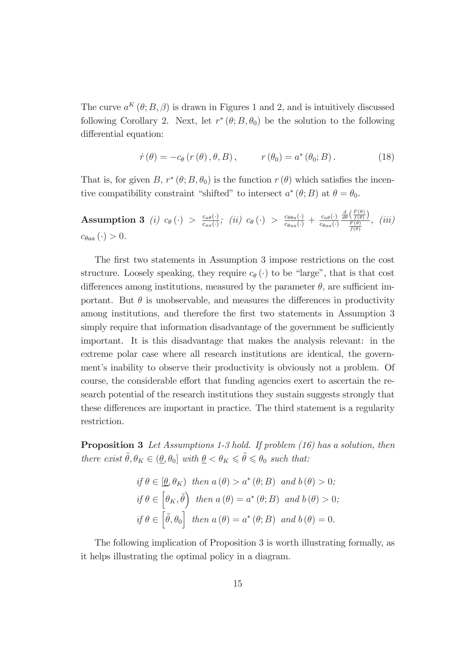The curve  $a^{K}(\theta; B, \beta)$  is drawn in Figures 1 and 2, and is intuitively discussed following Corollary 2. Next, let  $r^*(\theta; B, \theta_0)$  be the solution to the following differential equation:

$$
\dot{r}(\theta) = -c_{\theta}(r(\theta), \theta, B), \qquad r(\theta_0) = a^*(\theta_0; B). \qquad (18)
$$

That is, for given B,  $r^*(\theta; B, \theta_0)$  is the function  $r(\theta)$  which satisfies the incentive compatibility constraint "shifted" to intersect  $a^*(\theta; B)$  at  $\theta = \theta_0$ .

Assumption 3 *(i)*  $c_{\theta}(\cdot) > \frac{c_{\theta}(\cdot)}{c_{\theta}(\cdot)}$  $\frac{c_{a\theta}(\cdot)}{c_{aa}(\cdot)}$ ; (ii)  $c_{\theta}(\cdot) > \frac{c_{\theta\theta a}(\cdot)}{c_{\theta aa}(\cdot)} + \frac{c_{a\theta}(\cdot)}{c_{\theta aa}(\cdot)}$  $\overline{c_{\theta aa}(\cdot)}$  $\frac{\frac{d}{d\theta}\left(\frac{F(\theta)}{f(\theta)}\right)}{\frac{F(\theta)}{f(\theta)}}, \;\; (iii)$  $c_{\theta aa}(\cdot) > 0.$ 

The first two statements in Assumption 3 impose restrictions on the cost structure. Loosely speaking, they require  $c_{\theta}(\cdot)$  to be "large", that is that cost differences among institutions, measured by the parameter  $\theta$ , are sufficient important. But  $\theta$  is unobservable, and measures the differences in productivity among institutions, and therefore the first two statements in Assumption 3 simply require that information disadvantage of the government be sufficiently important. It is this disadvantage that makes the analysis relevant: in the extreme polar case where all research institutions are identical, the government's inability to observe their productivity is obviously not a problem. Of course, the considerable effort that funding agencies exert to ascertain the research potential of the research institutions they sustain suggests strongly that these differences are important in practice. The third statement is a regularity restriction.

Proposition 3 *Let Assumptions 1-3 hold. If problem (16) has a solution, then there exist*  $\tilde{\theta}, \theta_K \in (\underline{\theta}, \theta_0]$  *with*  $\underline{\theta} < \theta_K \leq \tilde{\theta} \leq \theta_0$  *such that:* 

$$
if \theta \in [\underline{\theta}, \theta_K) \ then \ a(\theta) > a^*(\theta; B) \ and \ b(\theta) > 0;
$$
\n
$$
if \theta \in [\theta_K, \tilde{\theta}) \ then \ a(\theta) = a^*(\theta; B) \ and \ b(\theta) > 0;
$$
\n
$$
if \theta \in [\tilde{\theta}, \theta_0] \ then \ a(\theta) = a^*(\theta; B) \ and \ b(\theta) = 0.
$$

The following implication of Proposition 3 is worth illustrating formally, as it helps illustrating the optimal policy in a diagram.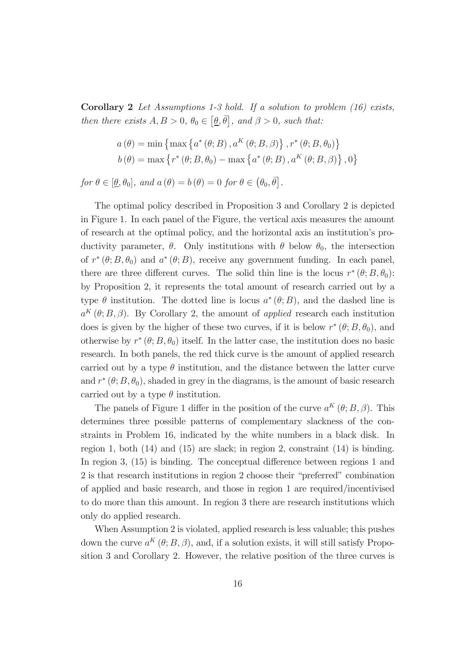Corollary 2 *Let Assumptions 1-3 hold. If a solution to problem (16) exists, then there exists*  $A, B > 0, \theta_0 \in [\underline{\theta}, \overline{\theta}]$ , and  $\beta > 0$ , such that:

$$
a(\theta) = \min \left\{ \max \left\{ a^*(\theta; B), a^K(\theta; B, \beta) \right\}, r^*(\theta; B, \theta_0) \right\}
$$
  

$$
b(\theta) = \max \left\{ r^*(\theta; B, \theta_0) - \max \left\{ a^*(\theta; B), a^K(\theta; B, \beta) \right\}, 0 \right\}
$$

*for*  $\theta \in [\underline{\theta}, \theta_0]$ , and  $a(\theta) = b(\theta) = 0$  *for*  $\theta \in (\theta_0, \overline{\theta}]$ .

The optimal policy described in Proposition 3 and Corollary 2 is depicted in Figure 1. In each panel of the Figure, the vertical axis measures the amount of research at the optimal policy, and the horizontal axis an institution's productivity parameter,  $\theta$ . Only institutions with  $\theta$  below  $\theta_0$ , the intersection of  $r^*(\theta; B, \theta_0)$  and  $a^*(\theta; B)$ , receive any government funding. In each panel, there are three different curves. The solid thin line is the locus  $r^*(\theta; B, \theta_0)$ : by Proposition 2, it represents the total amount of research carried out by a type  $\theta$  institution. The dotted line is locus  $a^*(\theta;B)$ , and the dashed line is  $a^{K}(\theta; B, \beta)$ . By Corollary 2, the amount of *applied* research each institution does is given by the higher of these two curves, if it is below  $r^*(\theta; B, \theta_0)$ , and otherwise by  $r^*(\theta; B, \theta_0)$  itself. In the latter case, the institution does no basic research. In both panels, the red thick curve is the amount of applied research carried out by a type  $\theta$  institution, and the distance between the latter curve and  $r^*(\theta; B, \theta_0)$ , shaded in grey in the diagrams, is the amount of basic research carried out by a type  $\theta$  institution.

The panels of Figure 1 differ in the position of the curve  $a^{K}(\theta; B, \beta)$ . This determines three possible patterns of complementary slackness of the constraints in Problem 16, indicated by the white numbers in a black disk. In region 1, both (14) and (15) are slack; in region 2, constraint (14) is binding. In region 3,  $(15)$  is binding. The conceptual difference between regions 1 and 2 is that research institutions in region 2 choose their "preferred" combination of applied and basic research, and those in region 1 are required/incentivised to do more than this amount. In region 3 there are research institutions which only do applied research.

When Assumption 2 is violated, applied research is less valuable; this pushes down the curve  $a^{K}(\theta; B, \beta)$ , and, if a solution exists, it will still satisfy Proposition 3 and Corollary 2. However, the relative position of the three curves is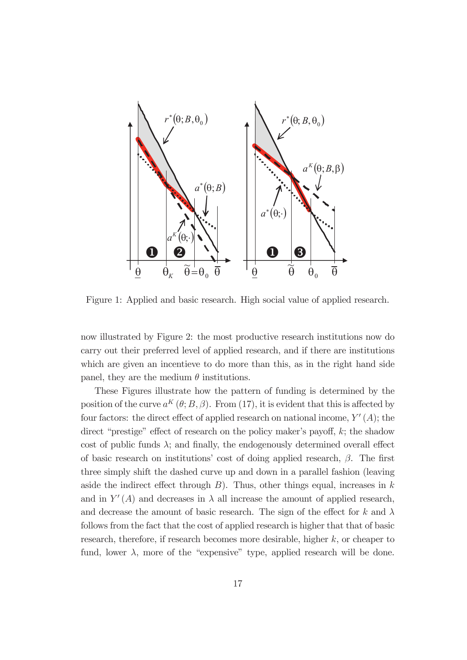

Figure 1: Applied and basic research. High social value of applied research.

now illustrated by Figure 2: the most productive research institutions now do carry out their preferred level of applied research, and if there are institutions which are given an incentieve to do more than this, as in the right hand side panel, they are the medium  $\theta$  institutions.

These Figures illustrate how the pattern of funding is determined by the position of the curve  $a^{K}(\theta; B, \beta)$ . From (17), it is evident that this is affected by four factors: the direct effect of applied research on national income,  $Y'(A)$ ; the direct "prestige" effect of research on the policy maker's payoff,  $k$ ; the shadow cost of public funds  $\lambda$ ; and finally, the endogenously determined overall effect of basic research on institutions' cost of doing applied research,  $\beta$ . The first three simply shift the dashed curve up and down in a parallel fashion (leaving aside the indirect effect through  $B$ ). Thus, other things equal, increases in k and in  $Y'(A)$  and decreases in  $\lambda$  all increase the amount of applied research, and decrease the amount of basic research. The sign of the effect for k and  $\lambda$ follows from the fact that the cost of applied research is higher that that of basic research, therefore, if research becomes more desirable, higher  $k$ , or cheaper to fund, lower  $\lambda$ , more of the "expensive" type, applied research will be done.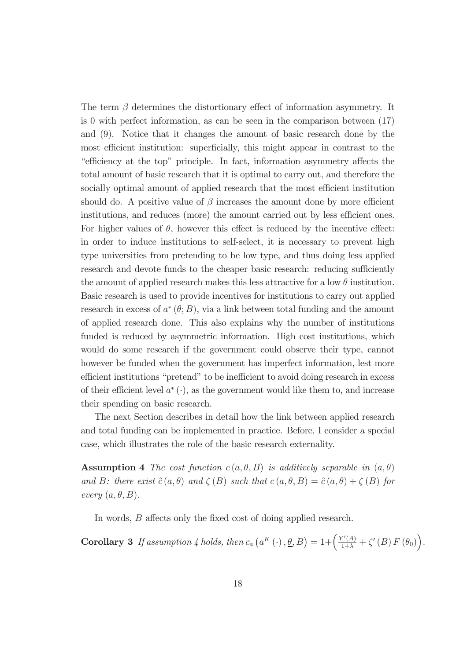The term  $\beta$  determines the distortionary effect of information asymmetry. It is 0 with perfect information, as can be seen in the comparison between (17) and (9). Notice that it changes the amount of basic research done by the most efficient institution: superficially, this might appear in contrast to the "efficiency at the top" principle. In fact, information asymmetry affects the total amount of basic research that it is optimal to carry out, and therefore the socially optimal amount of applied research that the most efficient institution should do. A positive value of  $\beta$  increases the amount done by more efficient institutions, and reduces (more) the amount carried out by less efficient ones. For higher values of  $\theta$ , however this effect is reduced by the incentive effect: in order to induce institutions to self-select, it is necessary to prevent high type universities from pretending to be low type, and thus doing less applied research and devote funds to the cheaper basic research: reducing sufficiently the amount of applied research makes this less attractive for a low  $\theta$  institution. Basic research is used to provide incentives for institutions to carry out applied research in excess of  $a^*(\theta;B)$ , via a link between total funding and the amount of applied research done. This also explains why the number of institutions funded is reduced by asymmetric information. High cost institutions, which would do some research if the government could observe their type, cannot however be funded when the government has imperfect information, lest more efficient institutions "pretend" to be inefficient to avoid doing research in excess of their efficient level  $a^*$  ( $\cdot$ ), as the government would like them to, and increase their spending on basic research.

The next Section describes in detail how the link between applied research and total funding can be implemented in practice. Before, I consider a special case, which illustrates the role of the basic research externality.

**Assumption 4** The cost function  $c(a, \theta, B)$  is additively separable in  $(a, \theta)$ *and* B: there exist  $\hat{c}(a, \theta)$  *and*  $\zeta(B)$  *such that*  $c(a, \theta, B) = \hat{c}(a, \theta) + \zeta(B)$  *for every*  $(a, \theta, B)$ *.* 

In words,  $B$  affects only the fixed cost of doing applied research.

**Corollary 3** If assumption 4 holds, then  $c_a\left(a^K\left(\cdot\right), \underline{\theta}, B\right) = 1 + \left(\frac{Y'(A)}{1+\lambda} + \zeta'(B) F(\theta_0)\right)$ .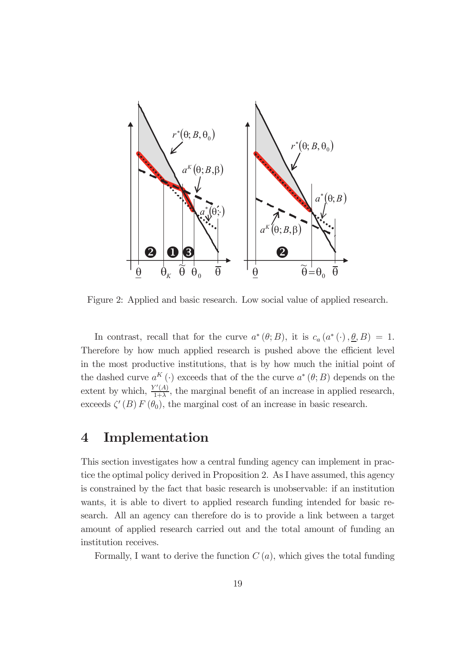

Figure 2: Applied and basic research. Low social value of applied research.

In contrast, recall that for the curve  $a^*(\theta;B)$ , it is  $c_a(a^*(\cdot), \underline{\theta}, B) = 1$ . Therefore by how much applied research is pushed above the efficient level in the most productive institutions, that is by how much the initial point of the dashed curve  $a^{K}(\cdot)$  exceeds that of the the curve  $a^{*}(\theta;B)$  depends on the extent by which,  $\frac{Y'(A)}{1+\lambda}$  $\frac{f'(A)}{1+\lambda}$ , the marginal benefit of an increase in applied research, exceeds  $\zeta'(B) F(\theta_0)$ , the marginal cost of an increase in basic research.

## 4 Implementation

This section investigates how a central funding agency can implement in practice the optimal policy derived in Proposition 2. As I have assumed, this agency is constrained by the fact that basic research is unobservable: if an institution wants, it is able to divert to applied research funding intended for basic research. All an agency can therefore do is to provide a link between a target amount of applied research carried out and the total amount of funding an institution receives.

Formally, I want to derive the function  $C(a)$ , which gives the total funding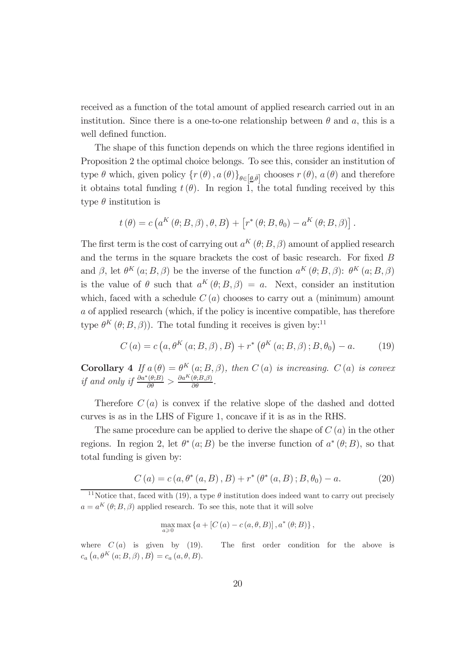received as a function of the total amount of applied research carried out in an institution. Since there is a one-to-one relationship between  $\theta$  and  $\alpha$ , this is a well defined function.

The shape of this function depends on which the three regions identified in Proposition 2 the optimal choice belongs. To see this, consider an institution of type  $\theta$  which, given policy  $\{r(\theta), a(\theta)\}_{\theta \in [0,\bar{\theta}]}$  chooses  $r(\theta), a(\theta)$  and therefore it obtains total funding  $t(\theta)$ . In region 1, the total funding received by this type  $\theta$  institution is

$$
t(\theta) = c\left(a^K(\theta; B, \beta), \theta, B\right) + \left[r^*(\theta; B, \theta_0) - a^K(\theta; B, \beta)\right].
$$

The first term is the cost of carrying out  $a^{K}(\theta; B, \beta)$  amount of applied research and the terms in the square brackets the cost of basic research. For fixed  $B$ and  $\beta$ , let  $\theta^K$   $(a; B, \beta)$  be the inverse of the function  $a^K$   $(\theta; B, \beta)$ :  $\theta^K$   $(a; B, \beta)$ is the value of  $\theta$  such that  $a^{K}(\theta; B, \beta) = a$ . Next, consider an institution which, faced with a schedule  $C(a)$  chooses to carry out a (minimum) amount a of applied research (which, if the policy is incentive compatible, has therefore type  $\theta^K(\theta; B, \beta)$ . The total funding it receives is given by:<sup>11</sup>

$$
C(a) = c(a, \theta^{K}(a; B, \beta), B) + r^{*}(\theta^{K}(a; B, \beta); B, \theta_{0}) - a.
$$
 (19)

**Corollary** 4 If  $a(\theta) = \theta^K(a; B, \beta)$ , then  $C(a)$  is increasing.  $C(a)$  is convex *if and only if*  $\frac{\partial a^*(\theta;B)}{\partial \theta} > \frac{\partial a^K(\theta;B,\beta)}{\partial \theta}$ .

Therefore  $C(a)$  is convex if the relative slope of the dashed and dotted curves is as in the LHS of Figure 1, concave if it is as in the RHS.

The same procedure can be applied to derive the shape of  $C(a)$  in the other regions. In region 2, let  $\theta^*(a;B)$  be the inverse function of  $a^*(\theta;B)$ , so that total funding is given by:

$$
C(a) = c(a, \theta^*(a, B), B) + r^*(\theta^*(a, B); B, \theta_0) - a.
$$
 (20)

$$
\max_{a\geqslant 0} \max \left\{ a + \left[ C\left( a \right) - c\left( a, \theta, B \right) \right], a^*\left( \theta; B \right) \right\},\
$$

where  $C(a)$  is given by (19). The first order condition for the above is  $c_a(a, \theta^K(a; B, \beta), B) = c_a(a, \theta, B).$ 

<sup>&</sup>lt;sup>11</sup>Notice that, faced with (19), a type  $\theta$  institution does indeed want to carry out precisely  $a = a^{K}(\theta; B, \beta)$  applied research. To see this, note that it will solve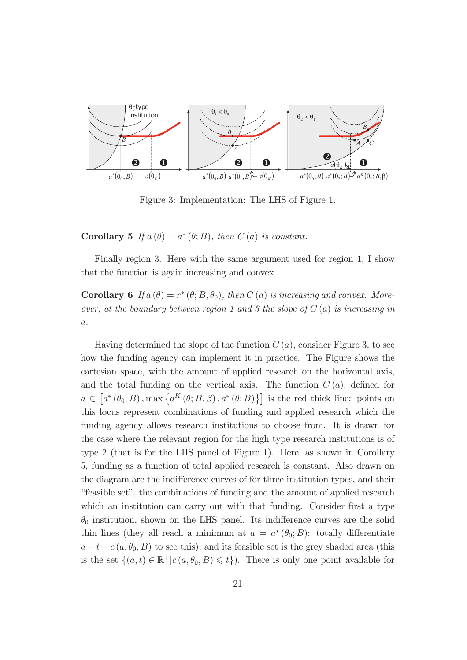

Figure 3: Implementation: The LHS of Figure 1.

**Corollary 5** If  $a(\theta) = a^*(\theta; B)$ , then  $C(a)$  is constant.

Finally region 3. Here with the same argument used for region 1, I show that the function is again increasing and convex.

**Corollary 6** If  $a(\theta) = r^*(\theta; B, \theta_0)$ , then  $C(a)$  is increasing and convex. More*over, at the boundary between region 1 and 3 the slope of* C (a) *is increasing in* a*.*

Having determined the slope of the function  $C(a)$ , consider Figure 3, to see how the funding agency can implement it in practice. The Figure shows the cartesian space, with the amount of applied research on the horizontal axis, and the total funding on the vertical axis. The function  $C(a)$ , defined for  $a \in [a^*(\theta_0; B), \max\{a^K(\underline{\theta}; B, \beta), a^*(\underline{\theta}; B)\}]$  is the red thick line: points on this locus represent combinations of funding and applied research which the funding agency allows research institutions to choose from. It is drawn for the case where the relevant region for the high type research institutions is of type 2 (that is for the LHS panel of Figure 1). Here, as shown in Corollary 5, funding as a function of total applied research is constant. Also drawn on the diagram are the indifference curves of for three institution types, and their "feasible set", the combinations of funding and the amount of applied research which an institution can carry out with that funding. Consider first a type  $\theta_0$  institution, shown on the LHS panel. Its indifference curves are the solid thin lines (they all reach a minimum at  $a = a^*(\theta_0; B)$ : totally differentiate  $a + t - c(a, \theta_0, B)$  to see this), and its feasible set is the grey shaded area (this is the set  $\{(a, t) \in \mathbb{R}^+ | c(a, \theta_0, B) \leq t\}$ . There is only one point available for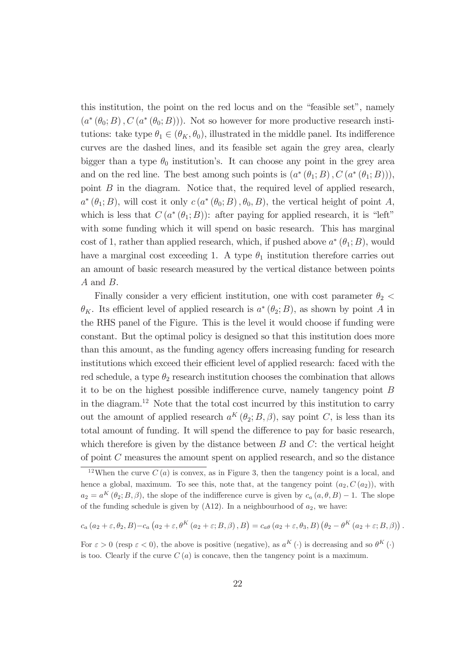this institution, the point on the red locus and on the "feasible set", namely  $(a^*(\theta_0; B), C(a^*(\theta_0; B)))$ . Not so however for more productive research institutions: take type  $\theta_1 \in (\theta_K, \theta_0)$ , illustrated in the middle panel. Its indifference curves are the dashed lines, and its feasible set again the grey area, clearly bigger than a type  $\theta_0$  institution's. It can choose any point in the grey area and on the red line. The best among such points is  $(a^*(\theta_1; B), C(a^*(\theta_1; B))),$ point  $B$  in the diagram. Notice that, the required level of applied research,  $a^*(\theta_1; B)$ , will cost it only  $c(a^*(\theta_0; B), \theta_0, B)$ , the vertical height of point A, which is less that  $C(a^*(\theta_1; B))$ : after paying for applied research, it is "left" with some funding which it will spend on basic research. This has marginal cost of 1, rather than applied research, which, if pushed above  $a^*(\theta_1; B)$ , would have a marginal cost exceeding 1. A type  $\theta_1$  institution therefore carries out an amount of basic research measured by the vertical distance between points A and B.

Finally consider a very efficient institution, one with cost parameter  $\theta_2$  <  $\theta_K$ . Its efficient level of applied research is  $a^*(\theta_2; B)$ , as shown by point A in the RHS panel of the Figure. This is the level it would choose if funding were constant. But the optimal policy is designed so that this institution does more than this amount, as the funding agency offers increasing funding for research institutions which exceed their efficient level of applied research: faced with the red schedule, a type  $\theta_2$  research institution chooses the combination that allows it to be on the highest possible indifference curve, namely tangency point  $B$ in the diagram.<sup>12</sup> Note that the total cost incurred by this institution to carry out the amount of applied research  $a^{K}(\theta_2; B, \beta)$ , say point C, is less than its total amount of funding. It will spend the difference to pay for basic research, which therefore is given by the distance between  $B$  and  $C$ : the vertical height of point C measures the amount spent on applied research, and so the distance

$$
c_a (a_2 + \varepsilon, \theta_2, B) - c_a (a_2 + \varepsilon, \theta^K (a_2 + \varepsilon; B, \beta), B) = c_{a\theta} (a_2 + \varepsilon, \theta_3, B) (\theta_2 - \theta^K (a_2 + \varepsilon; B, \beta)).
$$

For  $\varepsilon > 0$  (resp  $\varepsilon < 0$ ), the above is positive (negative), as  $a^{K}(\cdot)$  is decreasing and so  $\theta^{K}(\cdot)$ is too. Clearly if the curve  $C(a)$  is concave, then the tangency point is a maximum.

 $12$ When the curve  $C(a)$  is convex, as in Figure 3, then the tangency point is a local, and hence a global, maximum. To see this, note that, at the tangency point  $(a_2, C(a_2))$ , with  $a_2 = a^K(\theta_2; B, \beta)$ , the slope of the indifference curve is given by  $c_a(a, \theta, B) - 1$ . The slope of the funding schedule is given by  $(A12)$ . In a neighbourhood of  $a_2$ , we have: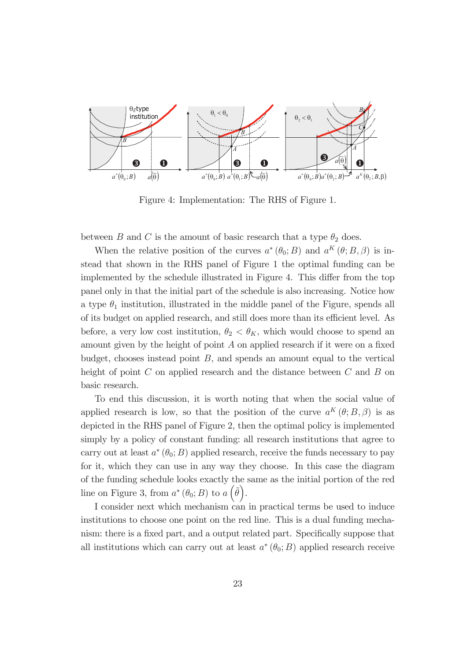

Figure 4: Implementation: The RHS of Figure 1.

between B and C is the amount of basic research that a type  $\theta_2$  does.

When the relative position of the curves  $a^*(\theta_0; B)$  and  $a^K(\theta; B, \beta)$  is instead that shown in the RHS panel of Figure 1 the optimal funding can be implemented by the schedule illustrated in Figure 4. This differ from the top panel only in that the initial part of the schedule is also increasing. Notice how a type  $\theta_1$  institution, illustrated in the middle panel of the Figure, spends all of its budget on applied research, and still does more than its efficient level. As before, a very low cost institution,  $\theta_2 < \theta_K$ , which would choose to spend an amount given by the height of point  $A$  on applied research if it were on a fixed budget, chooses instead point  $B$ , and spends an amount equal to the vertical height of point C on applied research and the distance between C and B on basic research.

To end this discussion, it is worth noting that when the social value of applied research is low, so that the position of the curve  $a^{K}(\theta;B,\beta)$  is as depicted in the RHS panel of Figure 2, then the optimal policy is implemented simply by a policy of constant funding: all research institutions that agree to carry out at least  $a^*(\theta_0; B)$  applied research, receive the funds necessary to pay for it, which they can use in any way they choose. In this case the diagram of the funding schedule looks exactly the same as the initial portion of the red line on Figure 3, from  $a^*(\theta_0; B)$  to  $a(\tilde{\theta})$ .

I consider next which mechanism can in practical terms be used to induce institutions to choose one point on the red line. This is a dual funding mechanism: there is a fixed part, and a output related part. Specifically suppose that all institutions which can carry out at least  $a^*(\theta_0; B)$  applied research receive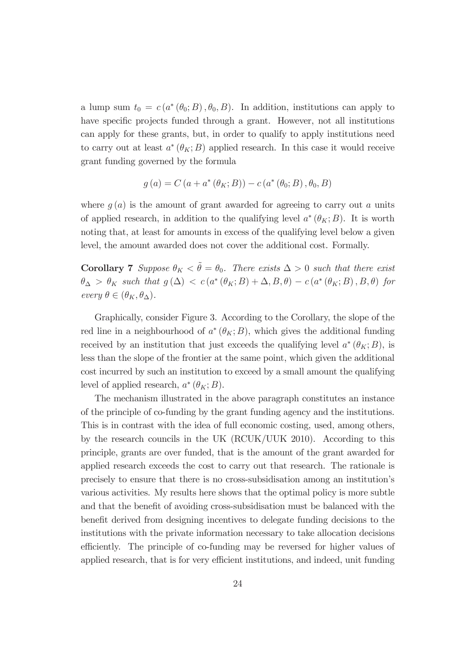a lump sum  $t_0 = c(a^*(\theta_0; B), \theta_0, B)$ . In addition, institutions can apply to have specific projects funded through a grant. However, not all institutions can apply for these grants, but, in order to qualify to apply institutions need to carry out at least  $a^*(\theta_K; B)$  applied research. In this case it would receive grant funding governed by the formula

$$
g(a) = C(a + a^*(\theta_K; B)) - c(a^*(\theta_0; B), \theta_0, B)
$$

where  $g(a)$  is the amount of grant awarded for agreeing to carry out a units of applied research, in addition to the qualifying level  $a^*(\theta_K;B)$ . It is worth noting that, at least for amounts in excess of the qualifying level below a given level, the amount awarded does not cover the additional cost. Formally.

**Corollary 7** *Suppose*  $\theta_K < \tilde{\theta} = \theta_0$ *. There exists*  $\Delta > 0$  *such that there exist*  $\theta_{\Delta} > \theta_K$  such that  $g(\Delta) < c(a^*(\theta_K; B) + \Delta, B, \theta) - c(a^*(\theta_K; B), B, \theta)$  for *every*  $\theta \in (\theta_K, \theta_\Delta)$ *.* 

Graphically, consider Figure 3. According to the Corollary, the slope of the red line in a neighbourhood of  $a^*(\theta_K; B)$ , which gives the additional funding received by an institution that just exceeds the qualifying level  $a^*(\theta_K;B)$ , is less than the slope of the frontier at the same point, which given the additional cost incurred by such an institution to exceed by a small amount the qualifying level of applied research,  $a^*(\theta_K;B)$ .

The mechanism illustrated in the above paragraph constitutes an instance of the principle of co-funding by the grant funding agency and the institutions. This is in contrast with the idea of full economic costing, used, among others, by the research councils in the UK (RCUK/UUK 2010). According to this principle, grants are over funded, that is the amount of the grant awarded for applied research exceeds the cost to carry out that research. The rationale is precisely to ensure that there is no cross-subsidisation among an institution's various activities. My results here shows that the optimal policy is more subtle and that the benefit of avoiding cross-subsidisation must be balanced with the benefit derived from designing incentives to delegate funding decisions to the institutions with the private information necessary to take allocation decisions efficiently. The principle of co-funding may be reversed for higher values of applied research, that is for very efficient institutions, and indeed, unit funding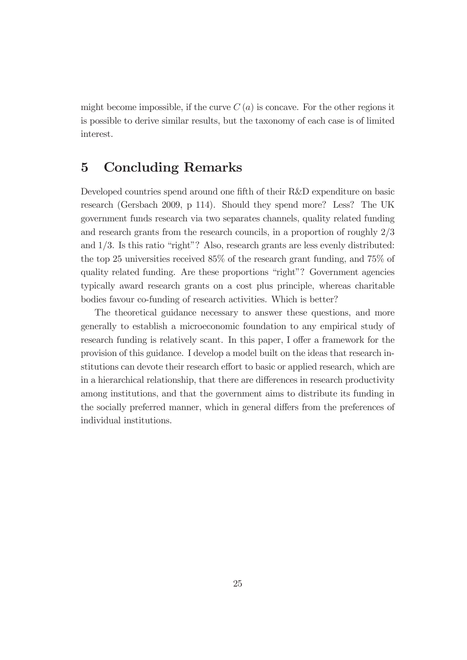might become impossible, if the curve  $C(a)$  is concave. For the other regions it is possible to derive similar results, but the taxonomy of each case is of limited interest.

## 5 Concluding Remarks

Developed countries spend around one fifth of their R&D expenditure on basic research (Gersbach 2009, p 114). Should they spend more? Less? The UK government funds research via two separates channels, quality related funding and research grants from the research councils, in a proportion of roughly 2/3 and 1/3. Is this ratio "right"? Also, research grants are less evenly distributed: the top 25 universities received 85% of the research grant funding, and 75% of quality related funding. Are these proportions "right"? Government agencies typically award research grants on a cost plus principle, whereas charitable bodies favour co-funding of research activities. Which is better?

The theoretical guidance necessary to answer these questions, and more generally to establish a microeconomic foundation to any empirical study of research funding is relatively scant. In this paper, I offer a framework for the provision of this guidance. I develop a model built on the ideas that research institutions can devote their research effort to basic or applied research, which are in a hierarchical relationship, that there are differences in research productivity among institutions, and that the government aims to distribute its funding in the socially preferred manner, which in general differs from the preferences of individual institutions.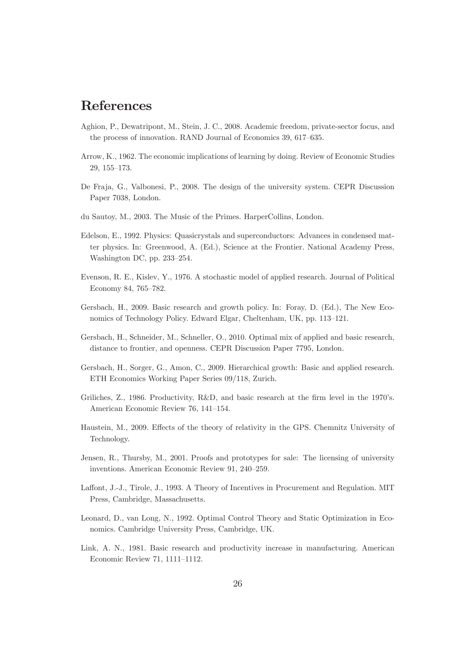# References

- Aghion, P., Dewatripont, M., Stein, J. C., 2008. Academic freedom, private-sector focus, and the process of innovation. RAND Journal of Economics 39, 617—635.
- Arrow, K., 1962. The economic implications of learning by doing. Review of Economic Studies 29, 155—173.
- De Fraja, G., Valbonesi, P., 2008. The design of the university system. CEPR Discussion Paper 7038, London.
- du Sautoy, M., 2003. The Music of the Primes. HarperCollins, London.
- Edelson, E., 1992. Physics: Quasicrystals and superconductors: Advances in condensed matter physics. In: Greenwood, A. (Ed.), Science at the Frontier. National Academy Press, Washington DC, pp. 233—254.
- Evenson, R. E., Kislev, Y., 1976. A stochastic model of applied research. Journal of Political Economy 84, 765—782.
- Gersbach, H., 2009. Basic research and growth policy. In: Foray, D. (Ed.), The New Economics of Technology Policy. Edward Elgar, Cheltenham, UK, pp. 113—121.
- Gersbach, H., Schneider, M., Schneller, O., 2010. Optimal mix of applied and basic research, distance to frontier, and openness. CEPR Discussion Paper 7795, London.
- Gersbach, H., Sorger, G., Amon, C., 2009. Hierarchical growth: Basic and applied research. ETH Economics Working Paper Series 09/118, Zurich.
- Griliches, Z., 1986. Productivity,  $R&D$ , and basic research at the firm level in the 1970's. American Economic Review 76, 141—154.
- Haustein, M., 2009. Effects of the theory of relativity in the GPS. Chemnitz University of Technology.
- Jensen, R., Thursby, M., 2001. Proofs and prototypes for sale: The licensing of university inventions. American Economic Review 91, 240—259.
- Laffont, J.-J., Tirole, J., 1993. A Theory of Incentives in Procurement and Regulation. MIT Press, Cambridge, Massachusetts.
- Leonard, D., van Long, N., 1992. Optimal Control Theory and Static Optimization in Economics. Cambridge University Press, Cambridge, UK.
- Link, A. N., 1981. Basic research and productivity increase in manufacturing. American Economic Review 71, 1111—1112.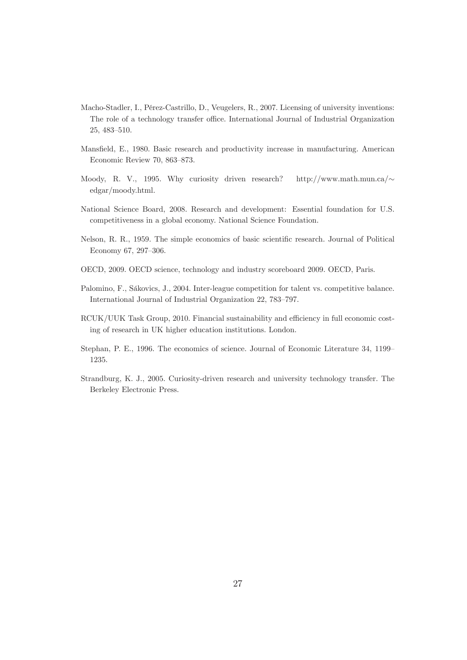- Macho-Stadler, I., Pérez-Castrillo, D., Veugelers, R., 2007. Licensing of university inventions: The role of a technology transfer office. International Journal of Industrial Organization 25, 483—510.
- Mansfield, E., 1980. Basic research and productivity increase in manufacturing. American Economic Review 70, 863—873.
- Moody, R. V., 1995. Why curiosity driven research? http://www.math.mun.ca/ $\sim$ edgar/moody.html.
- National Science Board, 2008. Research and development: Essential foundation for U.S. competitiveness in a global economy. National Science Foundation.
- Nelson, R. R., 1959. The simple economics of basic scientific research. Journal of Political Economy 67, 297—306.
- OECD, 2009. OECD science, technology and industry scoreboard 2009. OECD, Paris.
- Palomino, F., Sákovics, J., 2004. Inter-league competition for talent vs. competitive balance. International Journal of Industrial Organization 22, 783—797.
- RCUK/UUK Task Group, 2010. Financial sustainability and efficiency in full economic costing of research in UK higher education institutions. London.
- Stephan, P. E., 1996. The economics of science. Journal of Economic Literature 34, 1199— 1235.
- Strandburg, K. J., 2005. Curiosity-driven research and university technology transfer. The Berkeley Electronic Press.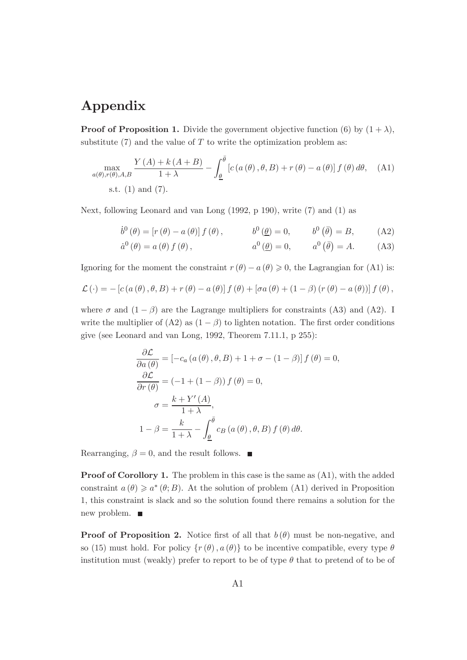# Appendix

**Proof of Proposition 1.** Divide the government objective function (6) by  $(1 + \lambda)$ , substitute  $(7)$  and the value of T to write the optimization problem as:

$$
\max_{a(\theta),r(\theta),A,B} \frac{Y(A) + k(A+B)}{1+\lambda} - \int_{\underline{\theta}}^{\overline{\theta}} \left[ c\left(a(\theta), \theta, B\right) + r(\theta) - a(\theta) \right] f(\theta) d\theta, \quad \text{(A1)}
$$
\ns.t. (1) and (7).

Next, following Leonard and van Long (1992, p 190), write (7) and (1) as

$$
\dot{b}^{0}(\theta) = \left[r(\theta) - a(\theta)\right]f(\theta), \qquad b^{0}(\underline{\theta}) = 0, \qquad b^{0}(\overline{\theta}) = B, \qquad (A2)
$$

$$
\dot{a}^0(\theta) = a(\theta) f(\theta), \qquad a^0(\underline{\theta}) = 0, \qquad a^0(\overline{\theta}) = A. \qquad (A3)
$$

Ignoring for the moment the constraint  $r(\theta) - a(\theta) \geq 0$ , the Lagrangian for (A1) is:

$$
\mathcal{L}(\cdot) = -\left[c\left(a\left(\theta\right), \theta, B\right) + r\left(\theta\right) - a\left(\theta\right)\right]f\left(\theta\right) + \left[\sigma a\left(\theta\right) + \left(1 - \beta\right)\left(r\left(\theta\right) - a\left(\theta\right)\right)\right]f\left(\theta\right),\right]
$$

where  $\sigma$  and  $(1 - \beta)$  are the Lagrange multipliers for constraints (A3) and (A2). I write the multiplier of  $(A2)$  as  $(1 - \beta)$  to lighten notation. The first order conditions give (see Leonard and van Long, 1992, Theorem 7.11.1, p 255):

$$
\frac{\partial \mathcal{L}}{\partial a(\theta)} = [-c_a (a(\theta), \theta, B) + 1 + \sigma - (1 - \beta)] f(\theta) = 0,
$$
  

$$
\frac{\partial \mathcal{L}}{\partial r(\theta)} = (-1 + (1 - \beta)) f(\theta) = 0,
$$
  

$$
\sigma = \frac{k + Y'(A)}{1 + \lambda},
$$
  

$$
1 - \beta = \frac{k}{1 + \lambda} - \int_{\underline{\theta}}^{\overline{\theta}} c_B (a(\theta), \theta, B) f(\theta) d\theta.
$$

Rearranging,  $\beta = 0$ , and the result follows.  $\blacksquare$ 

Proof of Corollory 1. The problem in this case is the same as  $(A1)$ , with the added constraint  $a(\theta) \geq a^*(\theta; B)$ . At the solution of problem (A1) derived in Proposition 1, this constraint is slack and so the solution found there remains a solution for the new problem.

**Proof of Proposition 2.** Notice first of all that  $b(\theta)$  must be non-negative, and so (15) must hold. For policy  $\{r(\theta), a(\theta)\}\)$  to be incentive compatible, every type  $\theta$ institution must (weakly) prefer to report to be of type  $\theta$  that to pretend of to be of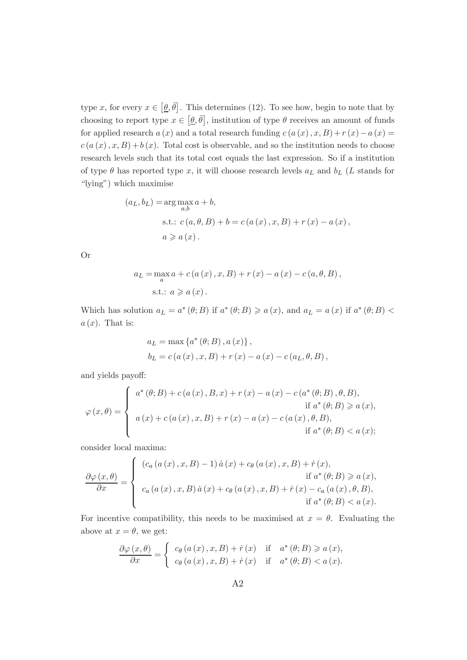type x, for every  $x \in [\underline{\theta}, \overline{\theta}]$ . This determines (12). To see how, begin to note that by choosing to report type  $x \in [\underline{\theta}, \overline{\theta}]$ , institution of type  $\theta$  receives an amount of funds for applied research  $a(x)$  and a total research funding  $c(a(x), x, B) + r(x) - a(x) =$  $c(a(x), x, B) + b(x)$ . Total cost is observable, and so the institution needs to choose research levels such that its total cost equals the last expression. So if a institution of type  $\theta$  has reported type x, it will choose research levels  $a_L$  and  $b_L$  (L stands for "lying") which maximise

$$
(a_L, b_L) = \arg\max_{a,b} a + b,
$$
  
s.t.:  $c(a, \theta, B) + b = c(a(x), x, B) + r(x) - a(x),$   
 $a \ge a(x).$ 

Or

$$
a_L = \max_a a + c(a(x), x, B) + r(x) - a(x) - c(a, \theta, B),
$$
  
s.t.:  $a \ge a(x)$ .

Which has solution  $a_L = a^*(\theta; B)$  if  $a^*(\theta; B) \ge a(x)$ , and  $a_L = a(x)$  if  $a^*(\theta; B) < a(x)$  $a(x)$ . That is:

$$
a_L = \max \{a^*(\theta; B), a(x)\},
$$
  
\n $b_L = c(a(x), x, B) + r(x) - a(x) - c(a_L, \theta, B),$ 

and yields payoff:

$$
\varphi(x,\theta) = \begin{cases}\n a^*(\theta; B) + c(a(x), B, x) + r(x) - a(x) - c(a^*(\theta; B), \theta, B), & \text{if } a^*(\theta; B) \ge a(x), \\
 a(x) + c(a(x), x, B) + r(x) - a(x) - c(a(x), \theta, B), & \text{if } a^*(\theta; B) < a(x);\n\end{cases}
$$

consider local maxima:

$$
\frac{\partial \varphi(x,\theta)}{\partial x} = \begin{cases}\n\left(c_a\left(a\left(x\right),x,B\right)-1\right)\dot{a}\left(x\right)+c_\theta\left(a\left(x\right),x,B\right)+\dot{r}\left(x\right), & \text{if } a^*(\theta;B) \geqslant a\left(x\right), \\
c_a\left(a\left(x\right),x,B\right)\dot{a}\left(x\right)+c_\theta\left(a\left(x\right),x,B\right)+\dot{r}\left(x\right)-c_a\left(a\left(x\right),\theta,B\right), & \text{if } a^*(\theta;B) < a\left(x\right).\n\end{cases}
$$

For incentive compatibility, this needs to be maximised at  $x = \theta$ . Evaluating the above at  $x = \theta$ , we get:

$$
\frac{\partial \varphi(x,\theta)}{\partial x} = \begin{cases} c_{\theta}(a(x), x, B) + \dot{r}(x) & \text{if } a^*(\theta; B) \geqslant a(x), \\ c_{\theta}(a(x), x, B) + \dot{r}(x) & \text{if } a^*(\theta; B) < a(x). \end{cases}
$$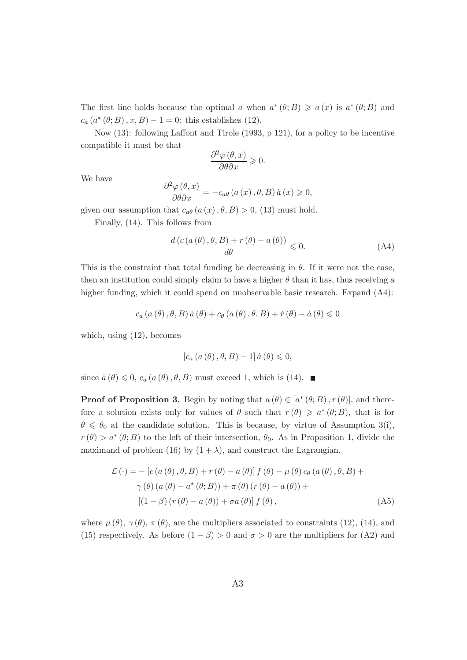The first line holds because the optimal a when  $a^*(\theta;B) \geq a(x)$  is  $a^*(\theta;B)$  and  $c_a(a^*(\theta; B), x, B) - 1 = 0$ : this establishes (12).

Now  $(13)$ : following Laffont and Tirole  $(1993, p 121)$ , for a policy to be incentive compatible it must be that

$$
\frac{\partial^2 \varphi(\theta, x)}{\partial \theta \partial x} \geq 0.
$$

We have

$$
\frac{\partial^2 \varphi(\theta, x)}{\partial \theta \partial x} = -c_{a\theta} (a(x), \theta, B) \dot{a}(x) \geqslant 0,
$$

given our assumption that  $c_{a\theta}$   $(a(x), \theta, B) > 0$ , (13) must hold.

Finally, (14). This follows from

$$
\frac{d\left(c\left(a\left(\theta\right),\theta,B\right)+r\left(\theta\right)-a\left(\theta\right)\right)}{d\theta} \leqslant 0. \tag{A4}
$$

This is the constraint that total funding be decreasing in  $\theta$ . If it were not the case, then an institution could simply claim to have a higher  $\theta$  than it has, thus receiving a higher funding, which it could spend on unobservable basic research. Expand  $(A4)$ :

$$
c_{a}(a(\theta), \theta, B)\dot{a}(\theta) + c_{\theta}(a(\theta), \theta, B) + \dot{r}(\theta) - \dot{a}(\theta) \leq 0
$$

which, using (12), becomes

$$
\left[c_{a}\left(a\left(\theta\right),\theta,B\right)-1\right]\dot{a}\left(\theta\right)\leqslant0,
$$

since  $a(\theta) \leq 0$ ,  $c_a(a(\theta), \theta, B)$  must exceed 1, which is (14).

**Proof of Proposition 3.** Begin by noting that  $a(\theta) \in [a^*(\theta; B), r(\theta)]$ , and therefore a solution exists only for values of  $\theta$  such that  $r(\theta) \geqslant a^*(\theta;B)$ , that is for  $\theta \leq \theta_0$  at the candidate solution. This is because, by virtue of Assumption 3(i),  $r(\theta) > a^*(\theta; B)$  to the left of their intersection,  $\theta_0$ . As in Proposition 1, divide the maximand of problem (16) by  $(1 + \lambda)$ , and construct the Lagrangian.

$$
\mathcal{L}(\cdot) = -\left[c\left(a\left(\theta\right), \theta, B\right) + r\left(\theta\right) - a\left(\theta\right)\right]f\left(\theta\right) - \mu\left(\theta\right)c_{\theta}\left(a\left(\theta\right), \theta, B\right) + \gamma\left(\theta\right)\left(a\left(\theta\right) - a^*\left(\theta; B\right)\right) + \pi\left(\theta\right)\left(r\left(\theta\right) - a\left(\theta\right)\right) + \left[\left(1 - \beta\right)\left(r\left(\theta\right) - a\left(\theta\right)\right) + \sigma a\left(\theta\right)\right]f\left(\theta\right),\tag{A5}
$$

where  $\mu(\theta)$ ,  $\gamma(\theta)$ ,  $\pi(\theta)$ , are the multipliers associated to constraints (12), (14), and (15) respectively. As before  $(1 - \beta) > 0$  and  $\sigma > 0$  are the multipliers for (A2) and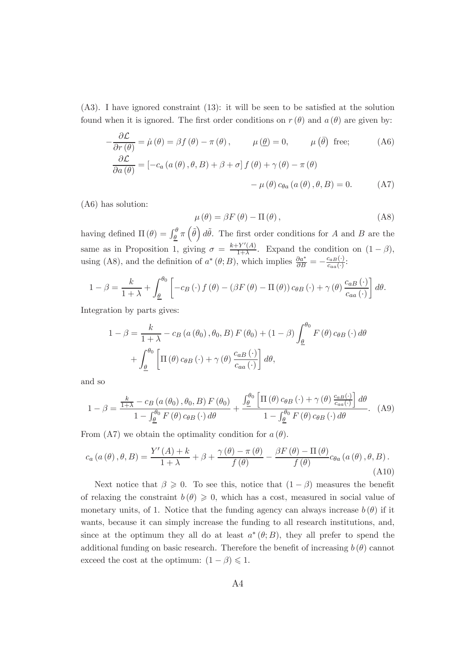$(A3)$ . I have ignored constraint  $(13)$ : it will be seen to be satisfied at the solution found when it is ignored. The first order conditions on  $r(\theta)$  and  $a(\theta)$  are given by:

$$
-\frac{\partial \mathcal{L}}{\partial r(\theta)} = \dot{\mu}(\theta) = \beta f(\theta) - \pi(\theta), \qquad \mu(\underline{\theta}) = 0, \qquad \mu(\overline{\theta}) \text{ free};
$$
 (A6)  

$$
\frac{\partial \mathcal{L}}{\partial a(\theta)} = [-c_a(a(\theta), \theta, B) + \beta + \sigma] f(\theta) + \gamma(\theta) - \pi(\theta)
$$

$$
- \mu(\theta) c_{\theta a}(a(\theta), \theta, B) = 0.
$$
 (A7)

(A6) has solution:

$$
\mu(\theta) = \beta F(\theta) - \Pi(\theta), \qquad (A8)
$$

having defined  $\Pi(\theta) = \int_{\underline{\theta}}^{\theta} \pi(\tilde{\theta}) d\tilde{\theta}$ . The first order conditions for A and B are the same as in Proposition 1, giving  $\sigma = \frac{k + Y'(A)}{1 + \lambda}$  $\frac{1-\Gamma(A)}{1+\lambda}$ . Expand the condition on  $(1-\beta)$ , using (A8), and the definition of  $a^*(\theta; B)$ , which implies  $\frac{\partial a^*}{\partial B} = -\frac{c_{aB}(\cdot)}{c_{aa}(\cdot)}$  $\frac{c_{aB}(\cdot)}{c_{aa}(\cdot)}$ :

$$
1 - \beta = \frac{k}{1 + \lambda} + \int_{\underline{\theta}}^{\theta_0} \left[ -c_B(\cdot) f(\theta) - (\beta F(\theta) - \Pi(\theta)) c_{\theta B}(\cdot) + \gamma(\theta) \frac{c_{aB}(\cdot)}{c_{aa}(\cdot)} \right] d\theta.
$$

Integration by parts gives:

$$
1 - \beta = \frac{k}{1 + \lambda} - c_B(a(\theta_0), \theta_0, B) F(\theta_0) + (1 - \beta) \int_{\underline{\theta}}^{\theta_0} F(\theta) c_{\theta B}(\cdot) d\theta
$$

$$
+ \int_{\underline{\theta}}^{\theta_0} \left[ \Pi(\theta) c_{\theta B}(\cdot) + \gamma(\theta) \frac{c_{aB}(\cdot)}{c_{aa}(\cdot)} \right] d\theta,
$$

and so

$$
1 - \beta = \frac{\frac{k}{1+\lambda} - c_B(a(\theta_0), \theta_0, B) F(\theta_0)}{1 - \int_{\underline{\theta}}^{\theta_0} F(\theta) c_{\theta B}(\cdot) d\theta} + \frac{\int_{\underline{\theta}}^{\theta_0} \left[ \Pi(\theta) c_{\theta B}(\cdot) + \gamma(\theta) \frac{c_{aB}(\cdot)}{c_{a a}(\cdot)} \right] d\theta}{1 - \int_{\underline{\theta}}^{\theta_0} F(\theta) c_{\theta B}(\cdot) d\theta}.
$$
 (A9)

From (A7) we obtain the optimality condition for  $a(\theta)$ .

$$
c_{a}(a(\theta), \theta, B) = \frac{Y'(A) + k}{1 + \lambda} + \beta + \frac{\gamma(\theta) - \pi(\theta)}{f(\theta)} - \frac{\beta F(\theta) - \Pi(\theta)}{f(\theta)} c_{\theta a}(a(\theta), \theta, B).
$$
\n(A10)

Next notice that  $\beta \geq 0$ . To see this, notice that  $(1 - \beta)$  measures the benefit of relaxing the constraint  $b(\theta) \geq 0$ , which has a cost, measured in social value of monetary units, of 1. Notice that the funding agency can always increase  $b(\theta)$  if it wants, because it can simply increase the funding to all research institutions, and, since at the optimum they all do at least  $a^*(\theta;B)$ , they all prefer to spend the additional funding on basic research. Therefore the benefit of increasing  $b(\theta)$  cannot exceed the cost at the optimum:  $(1 - \beta) \leq 1$ .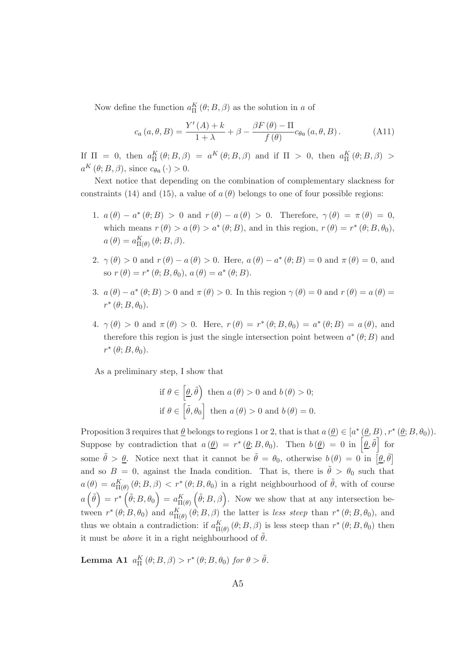Now define the function  $a_{\Pi}^K(\theta; B, \beta)$  as the solution in a of

$$
c_a(a,\theta,B) = \frac{Y'(A) + k}{1 + \lambda} + \beta - \frac{\beta F(\theta) - \Pi}{f(\theta)} c_{\theta a}(a,\theta,B).
$$
 (A11)

If  $\Pi = 0$ , then  $a_{\Pi}^K(\theta; B, \beta) = a^K(\theta; B, \beta)$  and if  $\Pi > 0$ , then  $a_{\Pi}^K(\theta; B, \beta) >$  $a^K(\theta; B, \beta)$ , since  $c_{\theta a}(\cdot) > 0$ .

Next notice that depending on the combination of complementary slackness for constraints (14) and (15), a value of  $a(\theta)$  belongs to one of four possible regions:

- 1.  $a(\theta) a^*(\theta; B) > 0$  and  $r(\theta) a(\theta) > 0$ . Therefore,  $\gamma(\theta) = \pi(\theta) = 0$ , which means  $r(\theta) > a(\theta) > a^*(\theta; B)$ , and in this region,  $r(\theta) = r^*(\theta; B, \theta_0)$ ,  $a(\theta) = a_{\Pi(\theta)}^{K}(\theta; B, \beta).$
- 2.  $\gamma(\theta) > 0$  and  $r(\theta) a(\theta) > 0$ . Here,  $a(\theta) a^*(\theta; B) = 0$  and  $\pi(\theta) = 0$ , and so  $r(\theta) = r^*(\theta; B, \theta_0), a(\theta) = a^*(\theta; B).$
- 3.  $a(\theta) a^*(\theta; B) > 0$  and  $\pi(\theta) > 0$ . In this region  $\gamma(\theta) = 0$  and  $r(\theta) = a(\theta) = 0$  $r^*(\theta; B, \theta_0).$
- 4.  $\gamma(\theta) > 0$  and  $\pi(\theta) > 0$ . Here,  $r(\theta) = r^*(\theta; B, \theta_0) = a^*(\theta; B) = a(\theta)$ , and therefore this region is just the single intersection point between  $a^*(\theta;B)$  and  $r^*(\theta; B, \theta_0).$

As a preliminary step, I show that

$$
\text{if } \theta \in \left[\underline{\theta}, \hat{\theta}\right) \text{ then } a(\theta) > 0 \text{ and } b(\theta) > 0; \\
\text{if } \theta \in \left[\tilde{\theta}, \theta_0\right] \text{ then } a(\theta) > 0 \text{ and } b(\theta) = 0.
$$

Proposition 3 requires that  $\underline{\theta}$  belongs to regions 1 or 2, that is that  $a(\underline{\theta}) \in [a^*(\underline{\theta},B), r^*(\underline{\theta};B,\theta_0)).$ Suppose by contradiction that  $a(\underline{\theta}) = r^*(\underline{\theta}; B, \theta_0)$ . Then  $b(\underline{\theta}) = 0$  in  $[\underline{\theta}, \tilde{\theta}]$  for some  $\tilde{\theta} > \underline{\theta}$ . Notice next that it cannot be  $\tilde{\theta} = \theta_0$ , otherwise  $b(\theta) = 0$  in  $[\underline{\theta}, \overline{\theta}]$ and so  $B = 0$ , against the Inada condition. That is, there is  $\tilde{\theta} > \theta_0$  such that  $a(\theta) = a_{\Pi(\theta)}^K(\theta; B, \beta) < r^*(\theta; B, \theta_0)$  in a right neighbourhood of  $\tilde{\theta}$ , with of course  $a\left(\widetilde{\theta}\right)\,=\,r^*\left(\widetilde{\theta};B,\theta_{0}\right)\,=\,a_{\Pi(\theta)}^{K}$  $(\tilde{\theta}; B, \beta)$ . Now we show that at any intersection between  $r^*(\theta; B, \theta_0)$  and  $a_{\Pi(\theta)}^K(\theta; B, \beta)$  the latter is *less steep* than  $r^*(\theta; B, \theta_0)$ , and thus we obtain a contradiction: if  $a_{\Pi(\theta)}^K(\theta; B, \beta)$  is less steep than  $r^*(\theta; B, \theta_0)$  then it must be *above* it in a right neighbourhood of  $\hat{\theta}$ .

Lemma A1  $a_{\Pi}^K(\theta; B, \beta) > r^*(\theta; B, \theta_0)$  for  $\theta > \tilde{\theta}$ .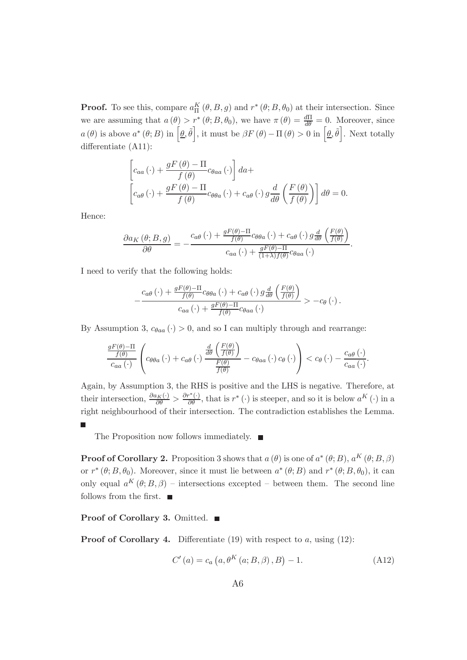**Proof.** To see this, compare  $a_{\Pi}^{K}(\theta, B, g)$  and  $r^{*}(\theta, B, \theta_{0})$  at their intersection. Since we are assuming that  $a(\theta) > r^*(\theta; B, \theta_0)$ , we have  $\pi(\theta) = \frac{d\Pi}{d\theta} = 0$ . Moreover, since  $a(\theta)$  is above  $a^*(\theta; B)$  in  $\left[\underline{\theta}, \tilde{\theta}\right]$ , it must be  $\beta F(\theta) - \Pi(\theta) > 0$  in  $\left[\underline{\theta}, \tilde{\theta}\right]$ . Next totally differentiate (A11):

$$
\[ c_{aa}(\cdot) + \frac{gF(\theta) - \Pi}{f(\theta)} c_{\theta aa}(\cdot) \] da +
$$
  

$$
\[ c_{a\theta}(\cdot) + \frac{gF(\theta) - \Pi}{f(\theta)} c_{\theta \theta a}(\cdot) + c_{a\theta}(\cdot) g \frac{d}{d\theta} \left( \frac{F(\theta)}{f(\theta)} \right) \] d\theta = 0.
$$

Hence:

$$
\frac{\partial a_K(\theta; B, g)}{\partial \theta} = -\frac{c_{a\theta}(\cdot) + \frac{gF(\theta) - \Pi}{f(\theta)}c_{\theta\theta a}(\cdot) + c_{a\theta}(\cdot) g\frac{d}{d\theta} \left(\frac{F(\theta)}{f(\theta)}\right)}{c_{aa}(\cdot) + \frac{gF(\theta) - \Pi}{(1+\lambda)f(\theta)}c_{\theta aa}(\cdot)}.
$$

I need to verify that the following holds:

$$
-\frac{c_{a\theta}(\cdot) + \frac{gF(\theta) - \Pi}{f(\theta)}c_{\theta\theta a}(\cdot) + c_{a\theta}(\cdot) g\frac{d}{d\theta}\left(\frac{F(\theta)}{f(\theta)}\right)}{c_{aa}(\cdot) + \frac{gF(\theta) - \Pi}{f(\theta)}c_{\theta aa}(\cdot)} > -c_{\theta}(\cdot).
$$

By Assumption 3,  $c_{\theta aa}$  ( $\cdot$ ) > 0, and so I can multiply through and rearrange:

$$
\frac{gF(\theta) - \Pi}{c_{aa}(\cdot)} \left( c_{\theta\theta a}(\cdot) + c_{a\theta}(\cdot) \frac{\frac{d}{d\theta} \left( \frac{F(\theta)}{f(\theta)} \right)}{\frac{F(\theta)}{f(\theta)}} - c_{\theta aa}(\cdot) c_{\theta}(\cdot) \right) < c_{\theta}(\cdot) - \frac{c_{a\theta}(\cdot)}{c_{aa}(\cdot)}
$$

Again, by Assumption 3, the RHS is positive and the LHS is negative. Therefore, at their intersection,  $\frac{\partial a_K(\cdot)}{\partial \theta} > \frac{\partial r^*(\cdot)}{\partial \theta}$ , that is  $r^*(\cdot)$  is steeper, and so it is below  $a^K(\cdot)$  in a right neighbourhood of their intersection. The contradiction establishes the Lemma.

The Proposition now follows immediately.  $\blacksquare$ 

**Proof of Corollary 2.** Proposition 3 shows that  $a(\theta)$  is one of  $a^*(\theta;B)$ ,  $a^K(\theta;B,\beta)$ or  $r^*(\theta; B, \theta_0)$ . Moreover, since it must lie between  $a^*(\theta; B)$  and  $r^*(\theta; B, \theta_0)$ , it can only equal  $a^{K}(\theta; B, \beta)$  – intersections excepted – between them. The second line follows from the first.  $\blacksquare$ 

#### Proof of Corollary 3. Omitted. ■

**Proof of Corollary 4.** Differentiate (19) with respect to a, using (12):

$$
C'(a) = c_a (a, \theta^K (a; B, \beta), B) - 1.
$$
 (A12)

.